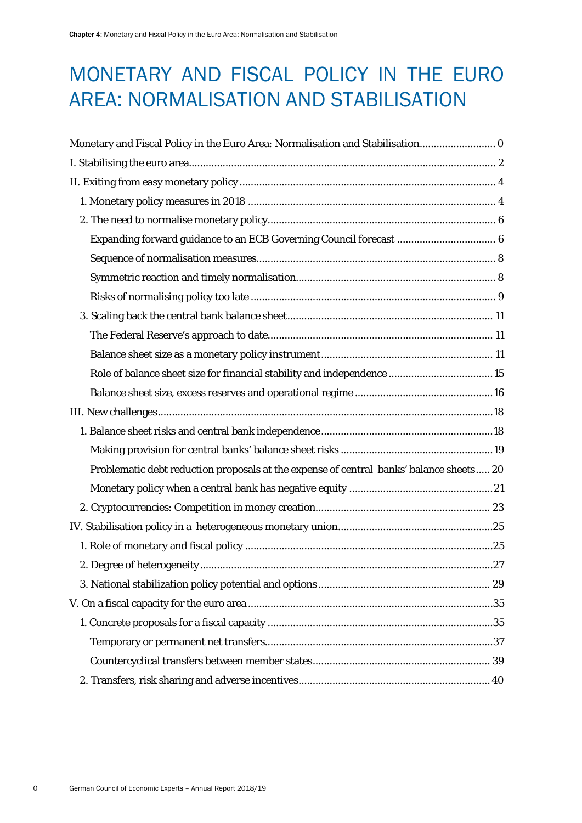# <span id="page-0-0"></span>MONETARY AND FISCAL POLICY IN THE EURO AREA: NORMALISATION AND STABILISATION

| Monetary and Fiscal Policy in the Euro Area: Normalisation and Stabilisation            |
|-----------------------------------------------------------------------------------------|
|                                                                                         |
|                                                                                         |
|                                                                                         |
|                                                                                         |
| Expanding forward guidance to an ECB Governing Council forecast  6                      |
|                                                                                         |
|                                                                                         |
|                                                                                         |
|                                                                                         |
|                                                                                         |
|                                                                                         |
|                                                                                         |
|                                                                                         |
|                                                                                         |
|                                                                                         |
|                                                                                         |
| Problematic debt reduction proposals at the expense of central banks' balance sheets 20 |
|                                                                                         |
|                                                                                         |
|                                                                                         |
|                                                                                         |
|                                                                                         |
|                                                                                         |
|                                                                                         |
|                                                                                         |
|                                                                                         |
|                                                                                         |
|                                                                                         |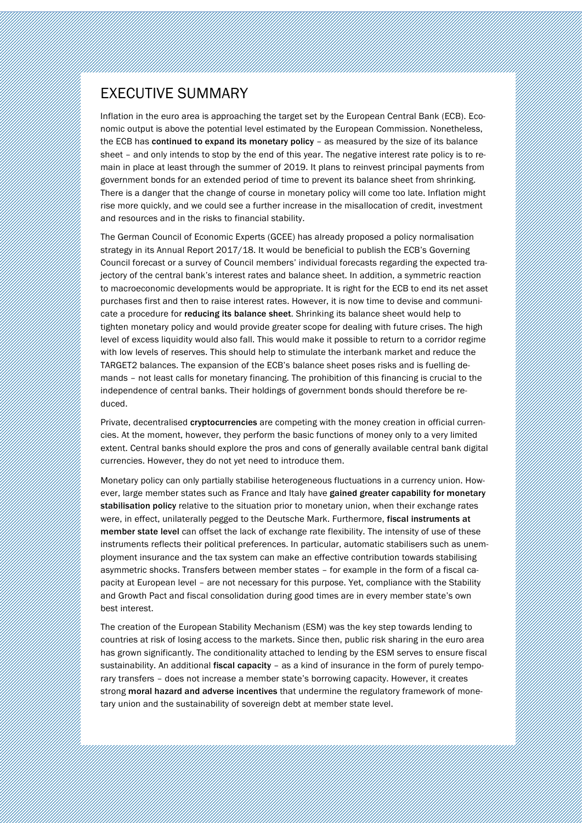## EXECUTIVE SUMMARY

Inflation in the euro area is approaching the target set by the European Central Bank (ECB). Economic output is above the potential level estimated by the European Commission. Nonetheless, the ECB has continued to expand its monetary policy – as measured by the size of its balance sheet – and only intends to stop by the end of this year. The negative interest rate policy is to remain in place at least through the summer of 2019. It plans to reinvest principal payments from government bonds for an extended period of time to prevent its balance sheet from shrinking. There is a danger that the change of course in monetary policy will come too late. Inflation might rise more quickly, and we could see a further increase in the misallocation of credit, investment and resources and in the risks to financial stability.

Chapter 4: Monetary and Fiscal Policy in the Euro Area: Normalisation and Stabilisation

The German Council of Economic Experts (GCEE) has already proposed a policy normalisation strategy in its Annual Report 2017/18. It would be beneficial to publish the ECB's Governing Council forecast or a survey of Council members' individual forecasts regarding the expected trajectory of the central bank's interest rates and balance sheet. In addition, a symmetric reaction to macroeconomic developments would be appropriate. It is right for the ECB to end its net asset purchases first and then to raise interest rates. However, it is now time to devise and communicate a procedure for reducing its balance sheet. Shrinking its balance sheet would help to tighten monetary policy and would provide greater scope for dealing with future crises. The high level of excess liquidity would also fall. This would make it possible to return to a corridor regime with low levels of reserves. This should help to stimulate the interbank market and reduce the TARGET2 balances. The expansion of the ECB's balance sheet poses risks and is fuelling demands – not least calls for monetary financing. The prohibition of this financing is crucial to the independence of central banks. Their holdings of government bonds should therefore be reduced.

Private, decentralised cryptocurrencies are competing with the money creation in official currencies. At the moment, however, they perform the basic functions of money only to a very limited extent. Central banks should explore the pros and cons of generally available central bank digital currencies. However, they do not yet need to introduce them.

Monetary policy can only partially stabilise heterogeneous fluctuations in a currency union. However, large member states such as France and Italy have gained greater capability for monetary stabilisation policy relative to the situation prior to monetary union, when their exchange rates were, in effect, unilaterally pegged to the Deutsche Mark. Furthermore, fiscal instruments at member state level can offset the lack of exchange rate flexibility. The intensity of use of these instruments reflects their political preferences. In particular, automatic stabilisers such as unemployment insurance and the tax system can make an effective contribution towards stabilising asymmetric shocks. Transfers between member states – for example in the form of a fiscal capacity at European level – are not necessary for this purpose. Yet, compliance with the Stability and Growth Pact and fiscal consolidation during good times are in every member state's own best interest.

The creation of the European Stability Mechanism (ESM) was the key step towards lending to countries at risk of losing access to the markets. Since then, public risk sharing in the euro area has grown significantly. The conditionality attached to lending by the ESM serves to ensure fiscal sustainability. An additional fiscal capacity - as a kind of insurance in the form of purely temporary transfers – does not increase a member state's borrowing capacity. However, it creates strong moral hazard and adverse incentives that undermine the regulatory framework of monetary union and the sustainability of sovereign debt at member state level.

German Council of Economic Experts – Annual Report 2018/19 1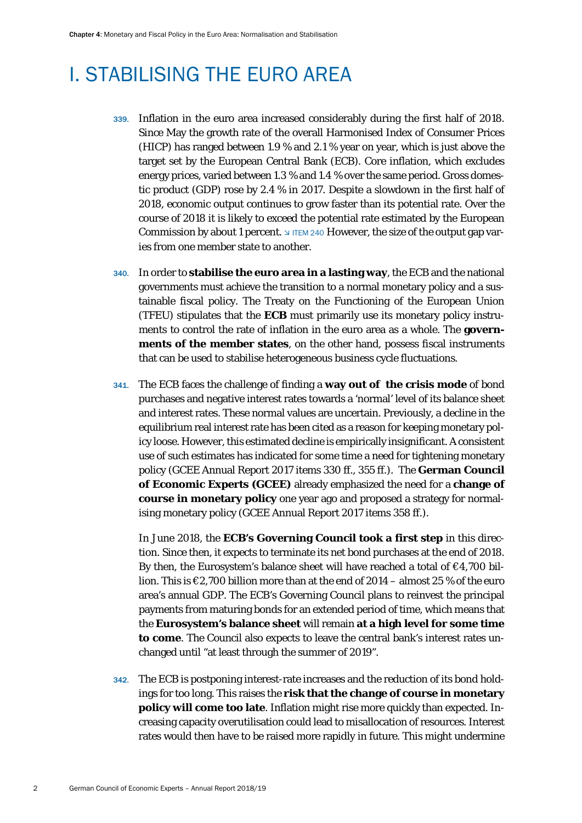## <span id="page-2-0"></span>I. STABILISING THE EURO AREA

- 339. Inflation in the euro area increased considerably during the first half of 2018. Since May the growth rate of the overall Harmonised Index of Consumer Prices (HICP) has ranged between 1.9 % and 2.1 % year on year, which is just above the target set by the European Central Bank (ECB). Core inflation, which excludes energy prices, varied between 1.3 % and 1.4 % over the same period. Gross domestic product (GDP) rose by 2.4 % in 2017. Despite a slowdown in the first half of 2018, economic output continues to grow faster than its potential rate. Over the course of 2018 it is likely to exceed the potential rate estimated by the European Commission by about 1 percent.  $\Box$  ITEM 240 However, the size of the output gap varies from one member state to another.
- 340. In order to **stabilise the euro area in a lasting way**, the ECB and the national governments must achieve the transition to a normal monetary policy and a sustainable fiscal policy. The Treaty on the Functioning of the European Union (TFEU) stipulates that the **ECB** must primarily use its monetary policy instruments to control the rate of inflation in the euro area as a whole. The **governments of the member states**, on the other hand, possess fiscal instruments that can be used to stabilise heterogeneous business cycle fluctuations.
- 341. The ECB faces the challenge of finding a **way out of the crisis mode** of bond purchases and negative interest rates towards a 'normal' level of its balance sheet and interest rates. These normal values are uncertain. Previously, a decline in the equilibrium real interest rate has been cited as a reason for keeping monetary policy loose. However, this estimated decline is empirically insignificant. A consistent use of such estimates has indicated for some time a need for tightening monetary policy (GCEE Annual Report 2017 items 330 ff., 355 ff.). The **German Council of Economic Experts (GCEE)** already emphasized the need for a **change of course in monetary policy** one year ago and proposed a strategy for normalising monetary policy (GCEE Annual Report 2017 items 358 ff.).

In June 2018, the **ECB's Governing Council took a first step** in this direction. Since then, it expects to terminate its net bond purchases at the end of 2018. By then, the Eurosystem's balance sheet will have reached a total of  $\epsilon$ 4,700 billion. This is  $\epsilon$ 2,700 billion more than at the end of 2014 – almost 25 % of the euro area's annual GDP. The ECB's Governing Council plans to reinvest the principal payments from maturing bonds for an extended period of time, which means that the **Eurosystem's balance sheet** will remain **at a high level for some time to come**. The Council also expects to leave the central bank's interest rates unchanged until "at least through the summer of 2019".

342. The ECB is postponing interest-rate increases and the reduction of its bond holdings for too long. This raises the **risk that the change of course in monetary policy will come too late**. Inflation might rise more quickly than expected. Increasing capacity overutilisation could lead to misallocation of resources. Interest rates would then have to be raised more rapidly in future. This might undermine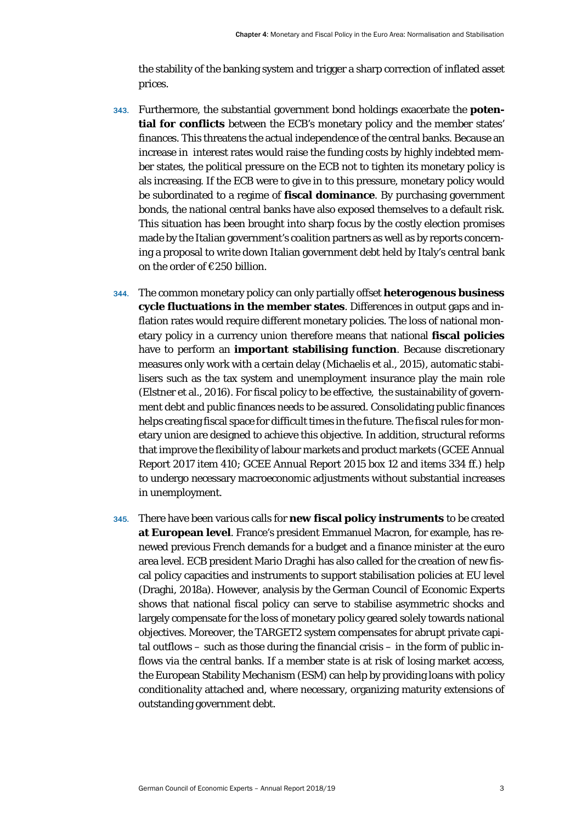the stability of the banking system and trigger a sharp correction of inflated asset prices.

- 343. Furthermore, the substantial government bond holdings exacerbate the **potential for conflicts** between the ECB's monetary policy and the member states' finances. This threatens the actual independence of the central banks. Because an increase in interest rates would raise the funding costs by highly indebted member states, the political pressure on the ECB not to tighten its monetary policy is als increasing. If the ECB were to give in to this pressure, monetary policy would be subordinated to a regime of **fiscal dominance**. By purchasing government bonds, the national central banks have also exposed themselves to a default risk. This situation has been brought into sharp focus by the costly election promises made by the Italian government's coalition partners as well as by reports concerning a proposal to write down Italian government debt held by Italy's central bank on the order of €250 billion.
- 344. The common monetary policy can only partially offset **heterogenous business cycle fluctuations in the member states**. Differences in output gaps and inflation rates would require different monetary policies. The loss of national monetary policy in a currency union therefore means that national **fiscal policies** have to perform an **important stabilising function**. Because discretionary measures only work with a certain delay (Michaelis et al., 2015), automatic stabilisers such as the tax system and unemployment insurance play the main role (Elstner et al., 2016). For fiscal policy to be effective, the sustainability of government debt and public finances needs to be assured. Consolidating public finances helps creating fiscal space for difficult times in the future. The fiscal rules for monetary union are designed to achieve this objective. In addition, structural reforms that improve the flexibility of labour markets and product markets (GCEE Annual Report 2017 item 410; GCEE Annual Report 2015 box 12 and items 334 ff.) help to undergo necessary macroeconomic adjustments without substantial increases in unemployment.
- 345. There have been various calls for **new fiscal policy instruments** to be created **at European level**. France's president Emmanuel Macron, for example, has renewed previous French demands for a budget and a finance minister at the euro area level. ECB president Mario Draghi has also called for the creation of new fiscal policy capacities and instruments to support stabilisation policies at EU level (Draghi, 2018a). However, analysis by the German Council of Economic Experts shows that national fiscal policy can serve to stabilise asymmetric shocks and largely compensate for the loss of monetary policy geared solely towards national objectives. Moreover, the TARGET2 system compensates for abrupt private capital outflows – such as those during the financial crisis – in the form of public inflows via the central banks. If a member state is at risk of losing market access, the European Stability Mechanism (ESM) can help by providing loans with policy conditionality attached and, where necessary, organizing maturity extensions of outstanding government debt.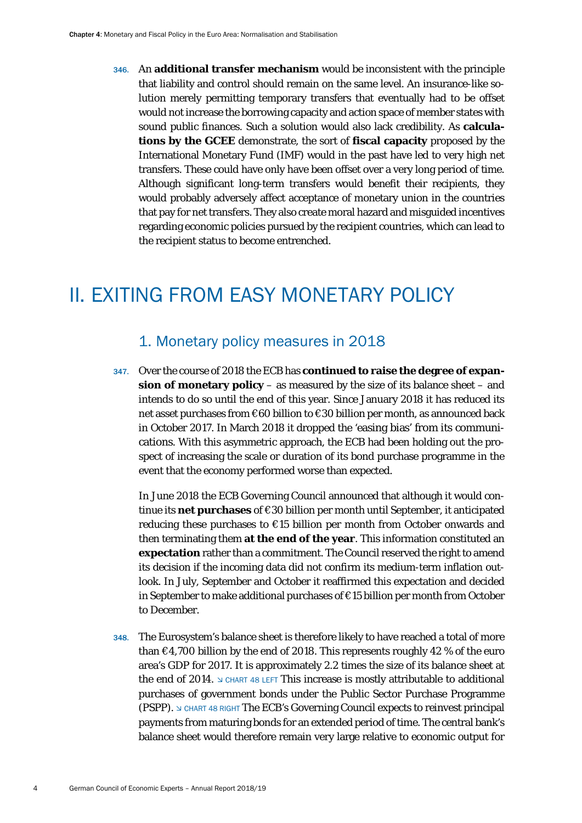346. An **additional transfer mechanism** would be inconsistent with the principle that liability and control should remain on the same level. An insurance-like solution merely permitting temporary transfers that eventually had to be offset would not increase the borrowing capacity and action space of member states with sound public finances. Such a solution would also lack credibility. As **calculations by the GCEE** demonstrate, the sort of **fiscal capacity** proposed by the International Monetary Fund (IMF) would in the past have led to very high net transfers. These could have only have been offset over a very long period of time. Although significant long-term transfers would benefit their recipients, they would probably adversely affect acceptance of monetary union in the countries that pay for net transfers. They also create moral hazard and misguided incentives regarding economic policies pursued by the recipient countries, which can lead to the recipient status to become entrenched.

## <span id="page-4-1"></span><span id="page-4-0"></span>II. EXITING FROM EASY MONETARY POLICY

### 1. Monetary policy measures in 2018

347. Over the course of 2018 the ECB has **continued to raise the degree of expansion of monetary policy** – as measured by the size of its balance sheet – and intends to do so until the end of this year. Since January 2018 it has reduced its net asset purchases from €60 billion to €30 billion per month, as announced back in October 2017. In March 2018 it dropped the 'easing bias' from its communications. With this asymmetric approach, the ECB had been holding out the prospect of increasing the scale or duration of its bond purchase programme in the event that the economy performed worse than expected.

In June 2018 the ECB Governing Council announced that although it would continue its **net purchases** of €30 billion per month until September, it anticipated reducing these purchases to €15 billion per month from October onwards and then terminating them **at the end of the year**. This information constituted an **expectation** rather than a commitment. The Council reserved the right to amend its decision if the incoming data did not confirm its medium-term inflation outlook. In July, September and October it reaffirmed this expectation and decided in September to make additional purchases of €15 billion per month from October to December.

348. The Eurosystem's balance sheet is therefore likely to have reached a total of more than  $\epsilon$ 4,700 billion by the end of 2018. This represents roughly 42 % of the euro area's GDP for 2017. It is approximately 2.2 times the size of its balance sheet at the end of 2014.  $\triangle$  CHART 48 LEFT This increase is mostly attributable to additional purchases of government bonds under the Public Sector Purchase Programme (PSPP). CHART 48 RIGHT The ECB's Governing Council expects to reinvest principal payments from maturing bonds for an extended period of time. The central bank's balance sheet would therefore remain very large relative to economic output for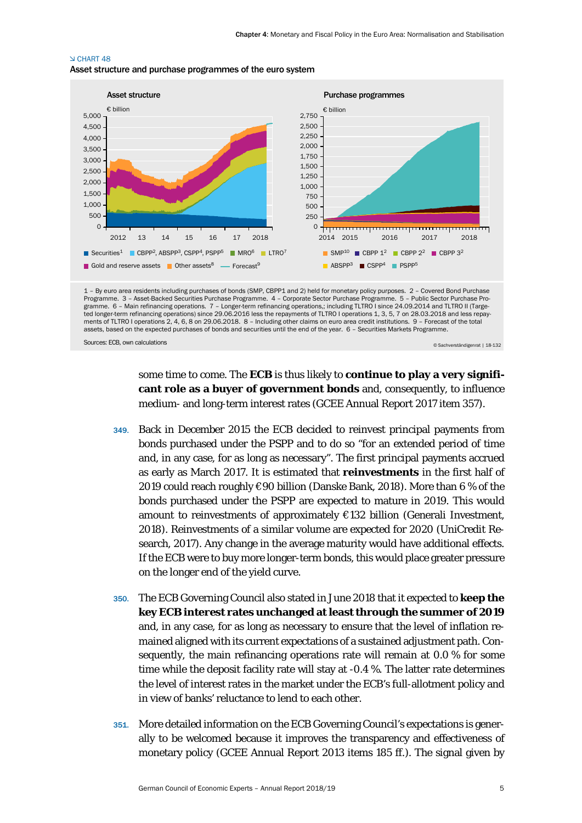#### **N CHART 48** Asset structure and purchase programmes of the euro system



1 – By euro area residents including purchases of bonds (SMP, CBPP1 and 2) held for monetary policy purposes. 2 – Covered Bond Purchase Programme. 3 – Asset-Backed Securities Purchase Programme. 4 – Corporate Sector Purchase Programme. 5 – Public Sector Purchase Programme. 6 – Main refinancing operations. 7 – Longer-term refinancing operations,; including TLTRO I since 24.09.2014 and TLTRO II (Targeted longer-term refinancing operations) since 29.06.2016 less the repayments of TLTRO I operations 1, 3, 5, 7 on 28.03.2018 and less repay-<br>ments of TLTRO I operations 2, 4, 6, 8 on 29.06.2018. 8 – Including other claims assets, based on the expected purchases of bonds and securities until the end of the year. 6 – Securities Markets Programme.

Sources: ECB, own calculations

© Sachverständigenrat | 18-132

some time to come. The **ECB** is thus likely to **continue to play a very significant role as a buyer of government bonds** and, consequently, to influence medium- and long-term interest rates (GCEE Annual Report 2017 item 357).

- 349. Back in December 2015 the ECB decided to reinvest principal payments from bonds purchased under the PSPP and to do so "for an extended period of time and, in any case, for as long as necessary". The first principal payments accrued as early as March 2017. It is estimated that **reinvestments** in the first half of 2019 could reach roughly €90 billion (Danske Bank, 2018). More than 6 % of the bonds purchased under the PSPP are expected to mature in 2019. This would amount to reinvestments of approximately €132 billion (Generali Investment, 2018). Reinvestments of a similar volume are expected for 2020 (UniCredit Research, 2017). Any change in the average maturity would have additional effects. If the ECB were to buy more longer-term bonds, this would place greater pressure on the longer end of the yield curve.
- 350. The ECB Governing Council also stated in June 2018 that it expected to **keep the key ECB interest rates unchanged at least through the summer of 2019** and, in any case, for as long as necessary to ensure that the level of inflation remained aligned with its current expectations of a sustained adjustment path. Consequently, the main refinancing operations rate will remain at 0.0 % for some time while the deposit facility rate will stay at -0.4 %. The latter rate determines the level of interest rates in the market under the ECB's full-allotment policy and in view of banks' reluctance to lend to each other.
- 351. More detailed information on the ECB Governing Council's expectations is generally to be welcomed because it improves the transparency and effectiveness of monetary policy (GCEE Annual Report 2013 items 185 ff.). The signal given by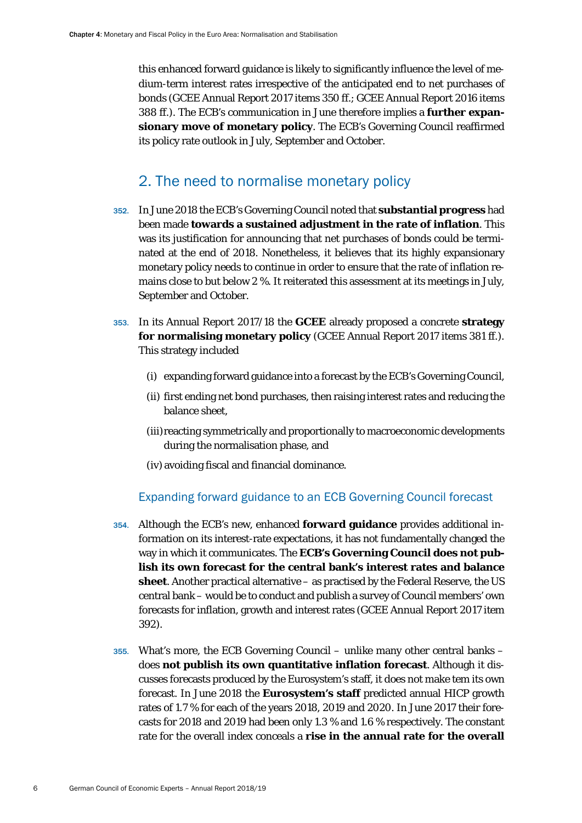this enhanced forward guidance is likely to significantly influence the level of medium-term interest rates irrespective of the anticipated end to net purchases of bonds (GCEE Annual Report 2017 items 350 ff.; GCEE Annual Report 2016 items 388 ff.). The ECB's communication in June therefore implies a **further expansionary move of monetary policy**. The ECB's Governing Council reaffirmed its policy rate outlook in July, September and October.

## 2. The need to normalise monetary policy

- <span id="page-6-0"></span>352. In June 2018 the ECB's Governing Council noted that **substantial progress** had been made **towards a sustained adjustment in the rate of inflation**. This was its justification for announcing that net purchases of bonds could be terminated at the end of 2018. Nonetheless, it believes that its highly expansionary monetary policy needs to continue in order to ensure that the rate of inflation remains close to but below 2 %. It reiterated this assessment at its meetings in July, September and October.
- 353. In its Annual Report 2017/18 the **GCEE** already proposed a concrete **strategy for normalising monetary policy** (GCEE Annual Report 2017 items 381 ff.). This strategy included
	- (i) expanding forward guidance into a forecast by the ECB's Governing Council,
	- (ii) first ending net bond purchases, then raising interest rates and reducing the balance sheet,
	- (iii) reacting symmetrically and proportionally to macroeconomic developments during the normalisation phase, and
	- (iv) avoiding fiscal and financial dominance.

#### Expanding forward guidance to an ECB Governing Council forecast

- <span id="page-6-1"></span>354. Although the ECB's new, enhanced **forward guidance** provides additional information on its interest-rate expectations, it has not fundamentally changed the way in which it communicates. The **ECB's Governing Council does not publish its own forecast for the central bank's interest rates and balance sheet**. Another practical alternative – as practised by the Federal Reserve, the US central bank – would be to conduct and publish a survey of Council members' own forecasts for inflation, growth and interest rates (GCEE Annual Report 2017 item 392).
- 355. What's more, the ECB Governing Council unlike many other central banks does **not publish its own quantitative inflation forecast**. Although it discusses forecasts produced by the Eurosystem's staff, it does not make tem its own forecast. In June 2018 the **Eurosystem's staff** predicted annual HICP growth rates of 1.7 % for each of the years 2018, 2019 and 2020. In June 2017 their forecasts for 2018 and 2019 had been only 1.3 % and 1.6 % respectively. The constant rate for the overall index conceals a **rise in the annual rate for the overall**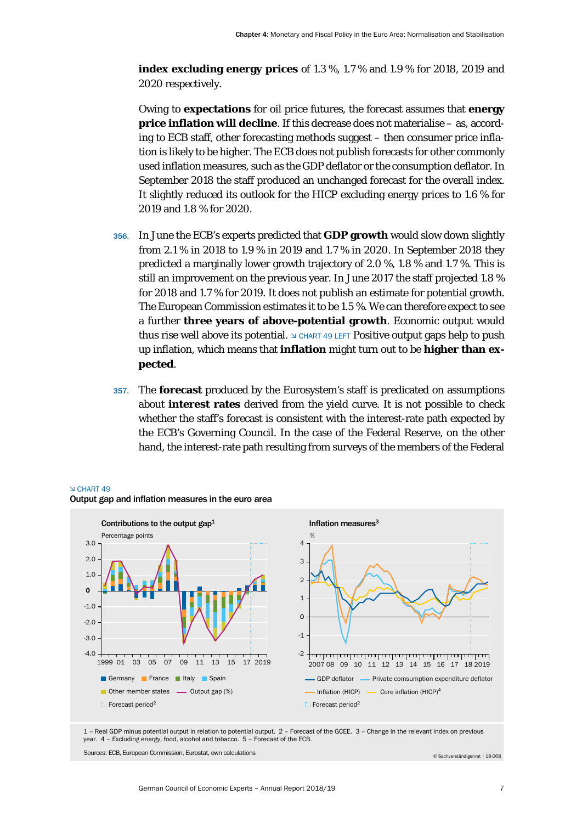**index excluding energy prices** of 1.3 %, 1.7 % and 1.9 % for 2018, 2019 and 2020 respectively.

Owing to **expectations** for oil price futures, the forecast assumes that **energy price inflation will decline**. If this decrease does not materialise – as, according to ECB staff, other forecasting methods suggest – then consumer price inflation is likely to be higher. The ECB does not publish forecasts for other commonly used inflation measures, such as the GDP deflator or the consumption deflator. In September 2018 the staff produced an unchanged forecast for the overall index. It slightly reduced its outlook for the HICP excluding energy prices to 1.6 % for 2019 and 1.8 % for 2020.

- 356. In June the ECB's experts predicted that **GDP growth** would slow down slightly from 2.1 % in 2018 to 1.9 % in 2019 and 1.7 % in 2020. In September 2018 they predicted a marginally lower growth trajectory of 2.0 %, 1.8 % and 1.7 %. This is still an improvement on the previous year. In June 2017 the staff projected 1.8 % for 2018 and 1.7 % for 2019. It does not publish an estimate for potential growth. The European Commission estimates it to be 1.5 %. We can therefore expect to see a further **three years of above-potential growth**. Economic output would thus rise well above its potential.  $\trianglelefteq$  CHART 49 LEFT Positive output gaps help to push up inflation, which means that **inflation** might turn out to be **higher than expected**.
- 357. The **forecast** produced by the Eurosystem's staff is predicated on assumptions about **interest rates** derived from the yield curve. It is not possible to check whether the staff's forecast is consistent with the interest-rate path expected by the ECB's Governing Council. In the case of the Federal Reserve, on the other hand, the interest-rate path resulting from surveys of the members of the Federal



#### CHART 49 Output gap and inflation measures in the euro area

1 – Real GDP minus potential output in relation to potential output. 2 – Forecast of the GCEE. 3 – Change in the relevant index on previous year. 4 – Excluding energy, food, alcohol and tobacco. 5 – Forecast of the ECB.

Sources: ECB, European Commission, Eurostat, own calculations

© Sachverständigenrat | 18-068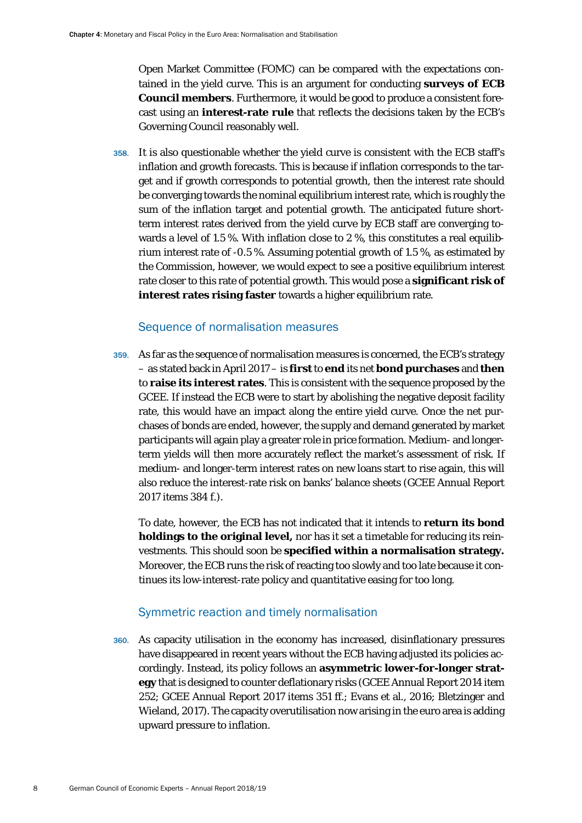Open Market Committee (FOMC) can be compared with the expectations contained in the yield curve. This is an argument for conducting **surveys of ECB Council members**. Furthermore, it would be good to produce a consistent forecast using an **interest-rate rule** that reflects the decisions taken by the ECB's Governing Council reasonably well.

358. It is also questionable whether the yield curve is consistent with the ECB staff's inflation and growth forecasts. This is because if inflation corresponds to the target and if growth corresponds to potential growth, then the interest rate should be converging towards the nominal equilibrium interest rate, which is roughly the sum of the inflation target and potential growth. The anticipated future shortterm interest rates derived from the yield curve by ECB staff are converging towards a level of 1.5 %. With inflation close to 2 %, this constitutes a real equilibrium interest rate of -0.5 %. Assuming potential growth of 1.5 %, as estimated by the Commission, however, we would expect to see a positive equilibrium interest rate closer to this rate of potential growth. This would pose a **significant risk of interest rates rising faster** towards a higher equilibrium rate.

#### Sequence of normalisation measures

<span id="page-8-0"></span>359. As far as the sequence of normalisation measures is concerned, the ECB's strategy – as stated back in April 2017 – is **first**to **end** its net **bond purchases** and **then** to **raise its interest rates**. This is consistent with the sequence proposed by the GCEE. If instead the ECB were to start by abolishing the negative deposit facility rate, this would have an impact along the entire yield curve. Once the net purchases of bonds are ended, however, the supply and demand generated by market participants will again play a greater role in price formation. Medium- and longerterm yields will then more accurately reflect the market's assessment of risk. If medium- and longer-term interest rates on new loans start to rise again, this will also reduce the interest-rate risk on banks' balance sheets (GCEE Annual Report 2017 items 384 f.).

To date, however, the ECB has not indicated that it intends to **return its bond holdings to the original level,** nor has it set a timetable for reducing its reinvestments. This should soon be **specified within a normalisation strategy.** Moreover, the ECB runs the risk of reacting too slowly and too late because it continues its low-interest-rate policy and quantitative easing for too long.

#### Symmetric reaction and timely normalisation

<span id="page-8-1"></span>360. As capacity utilisation in the economy has increased, disinflationary pressures have disappeared in recent years without the ECB having adjusted its policies accordingly. Instead, its policy follows an **asymmetric lower-for-longer strategy** that is designed to counter deflationary risks (GCEE Annual Report 2014 item 252; GCEE Annual Report 2017 items 351 ff.; Evans et al., 2016; Bletzinger and Wieland, 2017). The capacity overutilisation now arising in the euro area is adding upward pressure to inflation.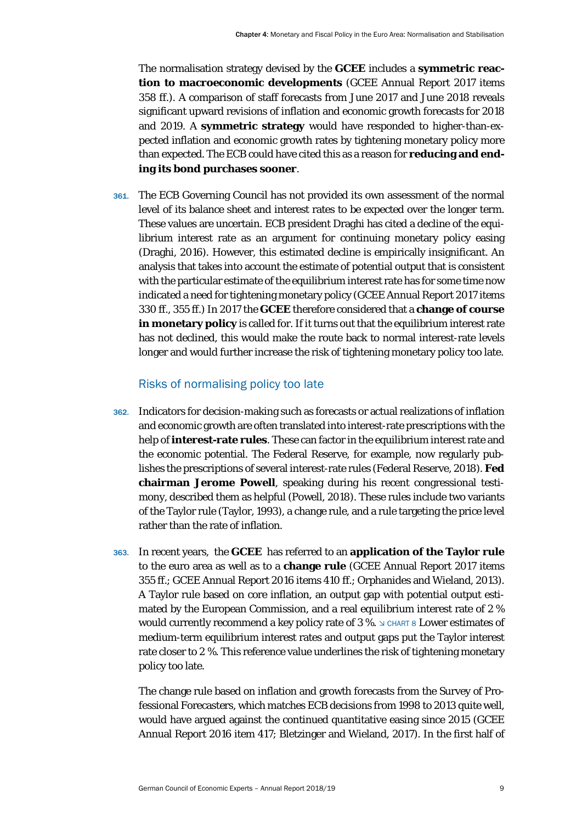The normalisation strategy devised by the **GCEE** includes a **symmetric reaction to macroeconomic developments** (GCEE Annual Report 2017 items 358 ff.). A comparison of staff forecasts from June 2017 and June 2018 reveals significant upward revisions of inflation and economic growth forecasts for 2018 and 2019. A **symmetric strategy** would have responded to higher-than-expected inflation and economic growth rates by tightening monetary policy more than expected. The ECB could have cited this as a reason for **reducing and ending its bond purchases sooner**.

361. The ECB Governing Council has not provided its own assessment of the normal level of its balance sheet and interest rates to be expected over the longer term. These values are uncertain. ECB president Draghi has cited a decline of the equilibrium interest rate as an argument for continuing monetary policy easing (Draghi, 2016). However, this estimated decline is empirically insignificant. An analysis that takes into account the estimate of potential output that is consistent with the particular estimate of the equilibrium interest rate has for some time now indicated a need for tightening monetary policy (GCEE Annual Report 2017 items 330 ff., 355 ff.) In 2017 the **GCEE** therefore considered that a **change of course in monetary policy** is called for. If it turns out that the equilibrium interest rate has not declined, this would make the route back to normal interest-rate levels longer and would further increase the risk of tightening monetary policy too late.

#### Risks of normalising policy too late

- <span id="page-9-0"></span>362. Indicators for decision-making such as forecasts or actual realizations of inflation and economic growth are often translated into interest-rate prescriptions with the help of **interest-rate rules**. These can factor in the equilibrium interest rate and the economic potential. The Federal Reserve, for example, now regularly publishes the prescriptions of several interest-rate rules (Federal Reserve, 2018). **Fed chairman Jerome Powell**, speaking during his recent congressional testimony, described them as helpful (Powell, 2018). These rules include two variants of the Taylor rule (Taylor, 1993), a change rule, and a rule targeting the price level rather than the rate of inflation.
- 363. In recent years, the **GCEE** has referred to an **application of the Taylor rule** to the euro area as well as to a **change rule** (GCEE Annual Report 2017 items 355 ff.; GCEE Annual Report 2016 items 410 ff.; Orphanides and Wieland, 2013). A Taylor rule based on core inflation, an output gap with potential output estimated by the European Commission, and a real equilibrium interest rate of 2 % would currently recommend a key policy rate of 3 %.  $\triangle$  CHART 8 Lower estimates of medium-term equilibrium interest rates and output gaps put the Taylor interest rate closer to 2 %. This reference value underlines the risk of tightening monetary policy too late.

The change rule based on inflation and growth forecasts from the Survey of Professional Forecasters, which matches ECB decisions from 1998 to 2013 quite well, would have argued against the continued quantitative easing since 2015 (GCEE Annual Report 2016 item 417; Bletzinger and Wieland, 2017). In the first half of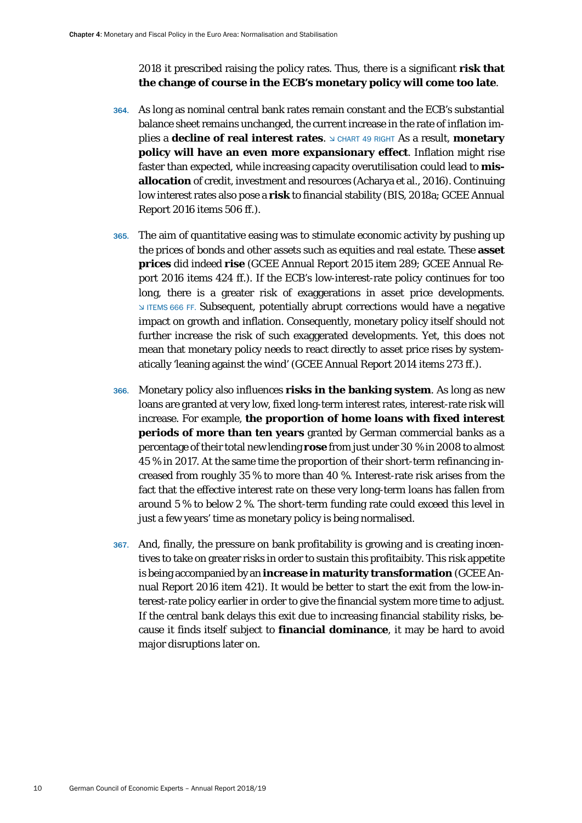2018 it prescribed raising the policy rates. Thus, there is a significant **risk that the change of course in the ECB's monetary policy will come too late**.

- 364. As long as nominal central bank rates remain constant and the ECB's substantial balance sheet remains unchanged, the current increase in the rate of inflation im**plies a decline of real interest rates.**  $\triangle$  CHART 49 RIGHT As a result, **monetary policy will have an even more expansionary effect**. Inflation might rise faster than expected, while increasing capacity overutilisation could lead to **misallocation** of credit, investment and resources (Acharya et al., 2016). Continuing low interest rates also pose a **risk** to financial stability (BIS, 2018a; GCEE Annual Report 2016 items 506 ff.).
- 365. The aim of quantitative easing was to stimulate economic activity by pushing up the prices of bonds and other assets such as equities and real estate. These **asset prices** did indeed **rise** (GCEE Annual Report 2015 item 289; GCEE Annual Report 2016 items 424 ff.). If the ECB's low-interest-rate policy continues for too long, there is a greater risk of exaggerations in asset price developments. ITEMS 666 FF. Subsequent, potentially abrupt corrections would have a negative impact on growth and inflation. Consequently, monetary policy itself should not further increase the risk of such exaggerated developments. Yet, this does not mean that monetary policy needs to react directly to asset price rises by systematically 'leaning against the wind' (GCEE Annual Report 2014 items 273 ff.).
- 366. Monetary policy also influences **risks in the banking system**. As long as new loans are granted at very low, fixed long-term interest rates, interest-rate risk will increase. For example, **the proportion of home loans with fixed interest periods of more than ten years** granted by German commercial banks as a percentage of their total new lending **rose** from just under 30 % in 2008 to almost 45 % in 2017. At the same time the proportion of their short-term refinancing increased from roughly 35 % to more than 40 %. Interest-rate risk arises from the fact that the effective interest rate on these very long-term loans has fallen from around 5 % to below 2 %. The short-term funding rate could exceed this level in just a few years' time as monetary policy is being normalised.
- 367. And, finally, the pressure on bank profitability is growing and is creating incentives to take on greater risks in order to sustain this profitaibity. This risk appetite is being accompanied by an **increase in maturity transformation** (GCEE Annual Report 2016 item 421). It would be better to start the exit from the low-interest-rate policy earlier in order to give the financial system more time to adjust. If the central bank delays this exit due to increasing financial stability risks, because it finds itself subject to **financial dominance**, it may be hard to avoid major disruptions later on.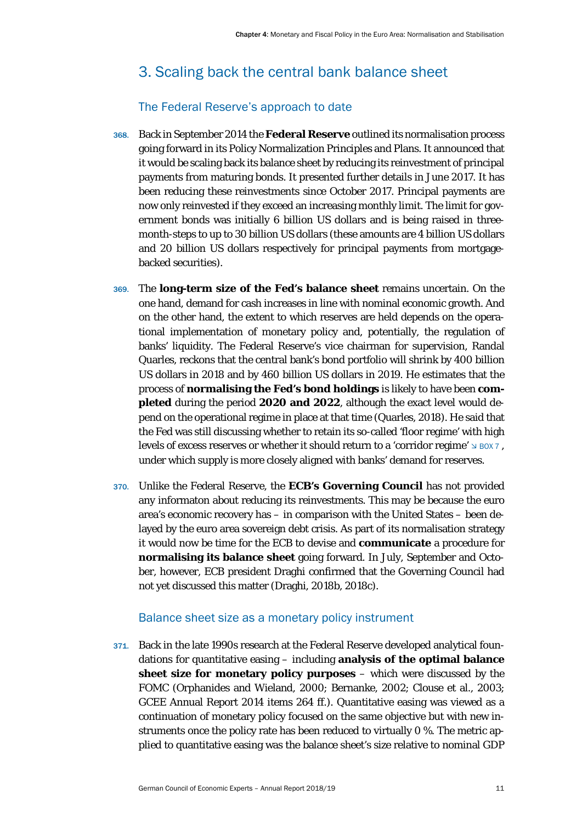## <span id="page-11-0"></span>3. Scaling back the central bank balance sheet

### The Federal Reserve's approach to date

- <span id="page-11-1"></span>368. Back in September 2014 the **Federal Reserve** outlined its normalisation process going forward in its Policy Normalization Principles and Plans. It announced that it would be scaling back its balance sheet by reducing its reinvestment of principal payments from maturing bonds. It presented further details in June 2017. It has been reducing these reinvestments since October 2017. Principal payments are now only reinvested if they exceed an increasing monthly limit. The limit for government bonds was initially 6 billion US dollars and is being raised in threemonth-steps to up to 30 billion US dollars (these amounts are 4 billion US dollars and 20 billion US dollars respectively for principal payments from mortgagebacked securities).
- 369. The **long-term size of the Fed's balance sheet** remains uncertain. On the one hand, demand for cash increases in line with nominal economic growth. And on the other hand, the extent to which reserves are held depends on the operational implementation of monetary policy and, potentially, the regulation of banks' liquidity. The Federal Reserve's vice chairman for supervision, Randal Quarles, reckons that the central bank's bond portfolio will shrink by 400 billion US dollars in 2018 and by 460 billion US dollars in 2019. He estimates that the process of **normalising the Fed's bond holdings** is likely to have been **completed** during the period **2020 and 2022**, although the exact level would depend on the operational regime in place at that time (Quarles, 2018). He said that the Fed was still discussing whether to retain its so-called 'floor regime' with high levels of excess reserves or whether it should return to a 'corridor regime'  $\Delta$  BOX 7, under which supply is more closely aligned with banks' demand for reserves.
- 370. Unlike the Federal Reserve, the **ECB's Governing Council** has not provided any informaton about reducing its reinvestments. This may be because the euro area's economic recovery has – in comparison with the United States – been delayed by the euro area sovereign debt crisis. As part of its normalisation strategy it would now be time for the ECB to devise and **communicate** a procedure for **normalising its balance sheet** going forward. In July, September and October, however, ECB president Draghi confirmed that the Governing Council had not yet discussed this matter (Draghi, 2018b, 2018c).

#### Balance sheet size as a monetary policy instrument

<span id="page-11-2"></span>371. Back in the late 1990s research at the Federal Reserve developed analytical foundations for quantitative easing – including **analysis of the optimal balance sheet size for monetary policy purposes** – which were discussed by the FOMC (Orphanides and Wieland, 2000; Bernanke, 2002; Clouse et al., 2003; GCEE Annual Report 2014 items 264 ff.). Quantitative easing was viewed as a continuation of monetary policy focused on the same objective but with new instruments once the policy rate has been reduced to virtually 0 %. The metric applied to quantitative easing was the balance sheet's size relative to nominal GDP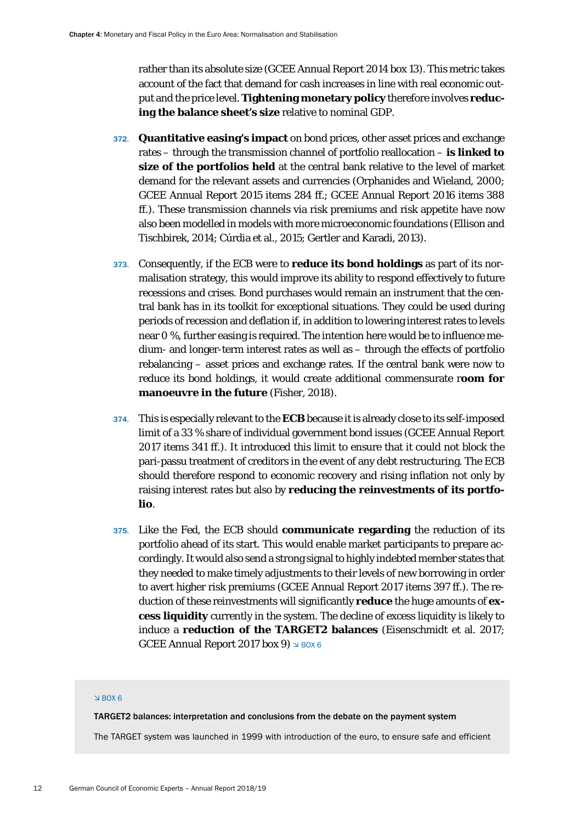rather than its absolute size (GCEE Annual Report 2014 box 13). This metric takes account of the fact that demand for cash increases in line with real economic output and the price level. **Tightening monetary policy** therefore involves **reducing the balance sheet's size** relative to nominal GDP.

- 372. **Quantitative easing's impact** on bond prices, other asset prices and exchange rates – through the transmission channel of portfolio reallocation – **is linked to size of the portfolios held** at the central bank relative to the level of market demand for the relevant assets and currencies (Orphanides and Wieland, 2000; GCEE Annual Report 2015 items 284 ff.; GCEE Annual Report 2016 items 388 ff.). These transmission channels via risk premiums and risk appetite have now also been modelled in models with more microeconomic foundations (Ellison and Tischbirek, 2014; Cúrdia et al., 2015; Gertler and Karadi, 2013).
- 373. Consequently, if the ECB were to **reduce its bond holdings** as part of its normalisation strategy, this would improve its ability to respond effectively to future recessions and crises. Bond purchases would remain an instrument that the central bank has in its toolkit for exceptional situations. They could be used during periods of recession and deflation if, in addition to lowering interest rates to levels near 0 %, further easing is required. The intention here would be to influence medium- and longer-term interest rates as well as – through the effects of portfolio rebalancing – asset prices and exchange rates. If the central bank were now to reduce its bond holdings, it would create additional commensurate r**oom for manoeuvre in the future** (Fisher, 2018).
- 374. This is especially relevant to the **ECB** because it is already close to its self-imposed limit of a 33 % share of individual government bond issues (GCEE Annual Report 2017 items 341 ff.). It introduced this limit to ensure that it could not block the pari-passu treatment of creditors in the event of any debt restructuring. The ECB should therefore respond to economic recovery and rising inflation not only by raising interest rates but also by **reducing the reinvestments of its portfolio**.
- 375. Like the Fed, the ECB should **communicate regarding** the reduction of its portfolio ahead of its start. This would enable market participants to prepare accordingly. It would also send a strong signal to highly indebted member states that they needed to make timely adjustments to their levels of new borrowing in order to avert higher risk premiums (GCEE Annual Report 2017 items 397 ff.). The reduction of these reinvestments will significantly **reduce** the huge amounts of **excess liquidity** currently in the system. The decline of excess liquidity is likely to induce a **reduction of the TARGET2 balances** (Eisenschmidt et al. 2017; GCEE Annual Report 2017 box 9)  $\leq$  BOX 6

#### $N$  BOX 6

TARGET2 balances: interpretation and conclusions from the debate on the payment system

The TARGET system was launched in 1999 with introduction of the euro, to ensure safe and efficient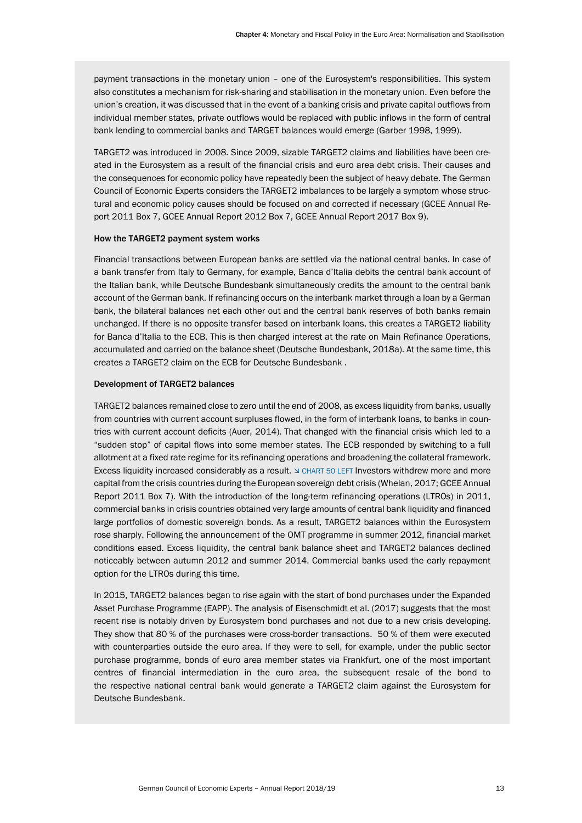payment transactions in the monetary union – one of the Eurosystem's responsibilities. This system also constitutes a mechanism for risk-sharing and stabilisation in the monetary union. Even before the union's creation, it was discussed that in the event of a banking crisis and private capital outflows from individual member states, private outflows would be replaced with public inflows in the form of central bank lending to commercial banks and TARGET balances would emerge (Garber 1998, 1999).

TARGET2 was introduced in 2008. Since 2009, sizable TARGET2 claims and liabilities have been created in the Eurosystem as a result of the financial crisis and euro area debt crisis. Their causes and the consequences for economic policy have repeatedly been the subject of heavy debate. The German Council of Economic Experts considers the TARGET2 imbalances to be largely a symptom whose structural and economic policy causes should be focused on and corrected if necessary (GCEE Annual Report 2011 Box 7, GCEE Annual Report 2012 Box 7, GCEE Annual Report 2017 Box 9).

#### How the TARGET2 payment system works

Financial transactions between European banks are settled via the national central banks. In case of a bank transfer from Italy to Germany, for example, Banca d'Italia debits the central bank account of the Italian bank, while Deutsche Bundesbank simultaneously credits the amount to the central bank account of the German bank. If refinancing occurs on the interbank market through a loan by a German bank, the bilateral balances net each other out and the central bank reserves of both banks remain unchanged. If there is no opposite transfer based on interbank loans, this creates a TARGET2 liability for Banca d'Italia to the ECB. This is then charged interest at the rate on Main Refinance Operations, accumulated and carried on the balance sheet (Deutsche Bundesbank, 2018a). At the same time, this creates a TARGET2 claim on the ECB for Deutsche Bundesbank .

#### Development of TARGET2 balances

TARGET2 balances remained close to zero until the end of 2008, as excess liquidity from banks, usually from countries with current account surpluses flowed, in the form of interbank loans, to banks in countries with current account deficits (Auer, 2014). That changed with the financial crisis which led to a "sudden stop" of capital flows into some member states. The ECB responded by switching to a full allotment at a fixed rate regime for its refinancing operations and broadening the collateral framework. Excess liquidity increased considerably as a result.  $\triangle$  CHART 50 LEFT Investors withdrew more and more capital from the crisis countries during the European sovereign debt crisis (Whelan, 2017; GCEE Annual Report 2011 Box 7). With the introduction of the long-term refinancing operations (LTROs) in 2011, commercial banks in crisis countries obtained very large amounts of central bank liquidity and financed large portfolios of domestic sovereign bonds. As a result, TARGET2 balances within the Eurosystem rose sharply. Following the announcement of the OMT programme in summer 2012, financial market conditions eased. Excess liquidity, the central bank balance sheet and TARGET2 balances declined noticeably between autumn 2012 and summer 2014. Commercial banks used the early repayment option for the LTROs during this time.

In 2015, TARGET2 balances began to rise again with the start of bond purchases under the Expanded Asset Purchase Programme (EAPP). The analysis of Eisenschmidt et al. (2017) suggests that the most recent rise is notably driven by Eurosystem bond purchases and not due to a new crisis developing. They show that 80 % of the purchases were cross-border transactions. 50 % of them were executed with counterparties outside the euro area. If they were to sell, for example, under the public sector purchase programme, bonds of euro area member states via Frankfurt, one of the most important centres of financial intermediation in the euro area, the subsequent resale of the bond to the respective national central bank would generate a TARGET2 claim against the Eurosystem for Deutsche Bundesbank.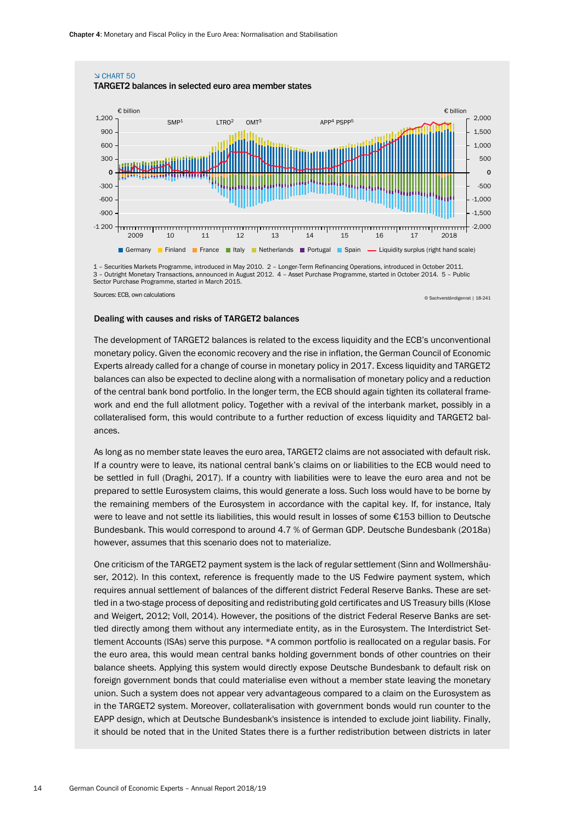

3 – Outright Monetary Transactions, announced in August 2012. 4 – Asset Purchase Programme, started in October 2014. 5 – Public Sector Purchase Programme, started in March 2015.

#### Dealing with causes and risks of TARGET2 balances

The development of TARGET2 balances is related to the excess liquidity and the ECB's unconventional monetary policy. Given the economic recovery and the rise in inflation, the German Council of Economic Experts already called for a change of course in monetary policy in 2017. Excess liquidity and TARGET2 balances can also be expected to decline along with a normalisation of monetary policy and a reduction of the central bank bond portfolio. In the longer term, the ECB should again tighten its collateral framework and end the full allotment policy. Together with a revival of the interbank market, possibly in a collateralised form, this would contribute to a further reduction of excess liquidity and TARGET2 balances.

As long as no member state leaves the euro area, TARGET2 claims are not associated with default risk. If a country were to leave, its national central bank's claims on or liabilities to the ECB would need to be settled in full (Draghi, 2017). If a country with liabilities were to leave the euro area and not be prepared to settle Eurosystem claims, this would generate a loss. Such loss would have to be borne by the remaining members of the Eurosystem in accordance with the capital key. If, for instance, Italy were to leave and not settle its liabilities, this would result in losses of some €153 billion to Deutsche Bundesbank. This would correspond to around 4.7 % of German GDP. Deutsche Bundesbank (2018a) however, assumes that this scenario does not to materialize.

One criticism of the TARGET2 payment system is the lack of regular settlement (Sinn and Wollmershäuser, 2012). In this context, reference is frequently made to the US Fedwire payment system, which requires annual settlement of balances of the different district Federal Reserve Banks. These are settled in a two-stage process of depositing and redistributing gold certificates and US Treasury bills (Klose and Weigert, 2012; Voll, 2014). However, the positions of the district Federal Reserve Banks are settled directly among them without any intermediate entity, as in the Eurosystem. The Interdistrict Settlement Accounts (ISAs) serve this purpose. \*A common portfolio is reallocated on a regular basis. For the euro area, this would mean central banks holding government bonds of other countries on their balance sheets. Applying this system would directly expose Deutsche Bundesbank to default risk on foreign government bonds that could materialise even without a member state leaving the monetary union. Such a system does not appear very advantageous compared to a claim on the Eurosystem as in the TARGET2 system. Moreover, collateralisation with government bonds would run counter to the EAPP design, which at Deutsche Bundesbank's insistence is intended to exclude joint liability. Finally, it should be noted that in the United States there is a further redistribution between districts in later

Sources: ECB, own calculations © Sachverständigenrat <sup>|</sup> 18-241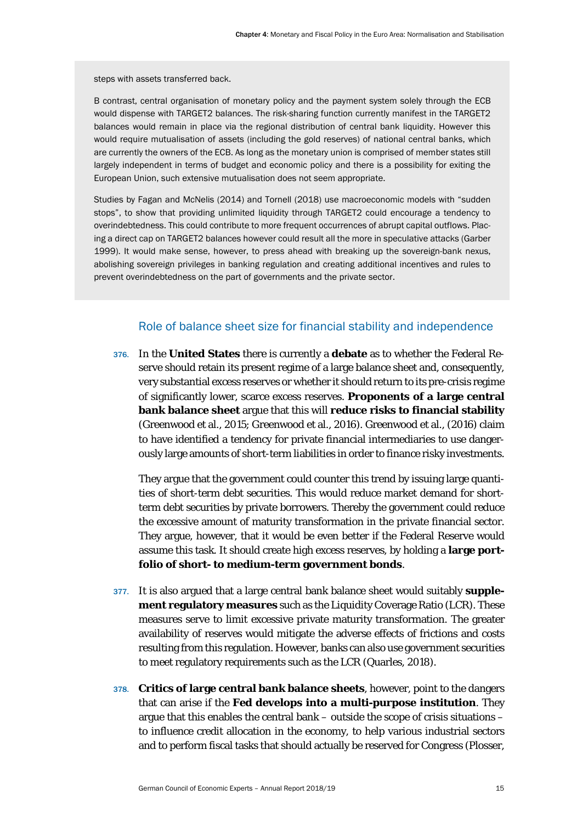steps with assets transferred back.

B contrast, central organisation of monetary policy and the payment system solely through the ECB would dispense with TARGET2 balances. The risk-sharing function currently manifest in the TARGET2 balances would remain in place via the regional distribution of central bank liquidity. However this would require mutualisation of assets (including the gold reserves) of national central banks, which are currently the owners of the ECB. As long as the monetary union is comprised of member states still largely independent in terms of budget and economic policy and there is a possibility for exiting the European Union, such extensive mutualisation does not seem appropriate.

Studies by Fagan and McNelis (2014) and Tornell (2018) use macroeconomic models with "sudden stops", to show that providing unlimited liquidity through TARGET2 could encourage a tendency to overindebtedness. This could contribute to more frequent occurrences of abrupt capital outflows. Placing a direct cap on TARGET2 balances however could result all the more in speculative attacks (Garber 1999). It would make sense, however, to press ahead with breaking up the sovereign-bank nexus, abolishing sovereign privileges in banking regulation and creating additional incentives and rules to prevent overindebtedness on the part of governments and the private sector.

#### Role of balance sheet size for financial stability and independence

<span id="page-15-0"></span>376. In the **United States** there is currently a **debate** as to whether the Federal Reserve should retain its present regime of a large balance sheet and, consequently, very substantial excess reserves or whether it should return to its pre-crisis regime of significantly lower, scarce excess reserves. **Proponents of a large central bank balance sheet** argue that this will **reduce risks to financial stability** (Greenwood et al., 2015; Greenwood et al., 2016). Greenwood et al., (2016) claim to have identified a tendency for private financial intermediaries to use dangerously large amounts of short-term liabilities in order to finance risky investments.

They argue that the government could counter this trend by issuing large quantities of short-term debt securities. This would reduce market demand for shortterm debt securities by private borrowers. Thereby the government could reduce the excessive amount of maturity transformation in the private financial sector. They argue, however, that it would be even better if the Federal Reserve would assume this task. It should create high excess reserves, by holding a **large portfolio of short- to medium-term government bonds**.

- 377. It is also argued that a large central bank balance sheet would suitably **supplement regulatory measures** such as the Liquidity Coverage Ratio (LCR). These measures serve to limit excessive private maturity transformation. The greater availability of reserves would mitigate the adverse effects of frictions and costs resulting from this regulation. However, banks can also use government securities to meet regulatory requirements such as the LCR (Quarles, 2018).
- 378. **Critics of large central bank balance sheets**, however, point to the dangers that can arise if the **Fed develops into a multi-purpose institution**. They argue that this enables the central bank – outside the scope of crisis situations – to influence credit allocation in the economy, to help various industrial sectors and to perform fiscal tasks that should actually be reserved for Congress (Plosser,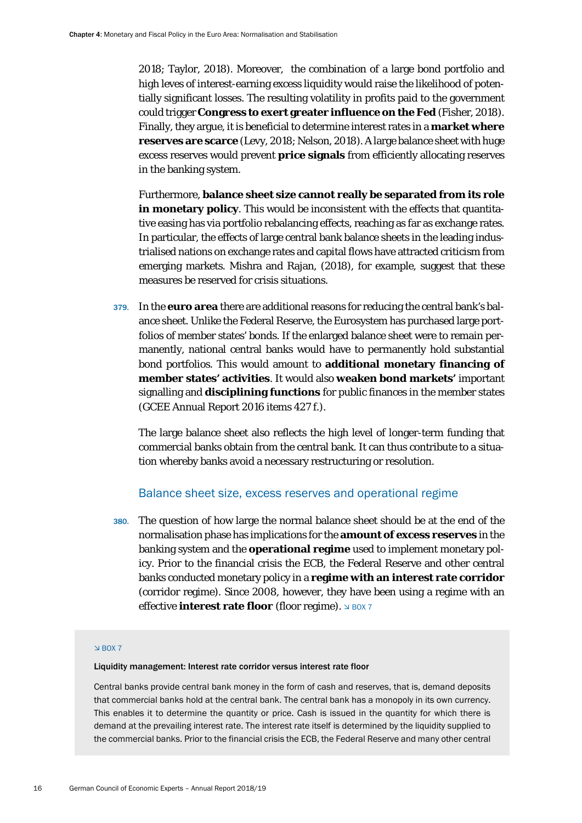2018; Taylor, 2018). Moreover, the combination of a large bond portfolio and high leves of interest-earning excess liquidity would raise the likelihood of potentially significant losses. The resulting volatility in profits paid to the government could trigger **Congress to exert greater influence on the Fed** (Fisher, 2018). Finally, they argue, it is beneficial to determine interest rates in a **market where reserves are scarce** (Levy, 2018; Nelson, 2018). A large balance sheet with huge excess reserves would prevent **price signals** from efficiently allocating reserves in the banking system.

Furthermore, **balance sheet size cannot really be separated from its role in monetary policy**. This would be inconsistent with the effects that quantitative easing has via portfolio rebalancing effects, reaching as far as exchange rates. In particular, the effects of large central bank balance sheets in the leading industrialised nations on exchange rates and capital flows have attracted criticism from emerging markets. Mishra and Rajan, (2018), for example, suggest that these measures be reserved for crisis situations.

379. In the **euro area** there are additional reasons for reducing the central bank's balance sheet. Unlike the Federal Reserve, the Eurosystem has purchased large portfolios of member states' bonds. If the enlarged balance sheet were to remain permanently, national central banks would have to permanently hold substantial bond portfolios. This would amount to **additional monetary financing of member states' activities**. It would also **weaken bond markets'** important signalling and **disciplining functions** for public finances in the member states (GCEE Annual Report 2016 items 427 f.).

The large balance sheet also reflects the high level of longer-term funding that commercial banks obtain from the central bank. It can thus contribute to a situation whereby banks avoid a necessary restructuring or resolution.

#### Balance sheet size, excess reserves and operational regime

<span id="page-16-0"></span>380. The question of how large the normal balance sheet should be at the end of the normalisation phase has implications for the **amount of excess reserves** in the banking system and the **operational regime** used to implement monetary policy. Prior to the financial crisis the ECB, the Federal Reserve and other central banks conducted monetary policy in a **regime with an interest rate corridor** (corridor regime). Since 2008, however, they have been using a regime with an **effective interest rate floor** (floor regime).  $\frac{1}{2}$  BOX 7

#### $\leq$  BOX 7

#### Liquidity management: Interest rate corridor versus interest rate floor

Central banks provide central bank money in the form of cash and reserves, that is, demand deposits that commercial banks hold at the central bank. The central bank has a monopoly in its own currency. This enables it to determine the quantity or price. Cash is issued in the quantity for which there is demand at the prevailing interest rate. The interest rate itself is determined by the liquidity supplied to the commercial banks. Prior to the financial crisis the ECB, the Federal Reserve and many other central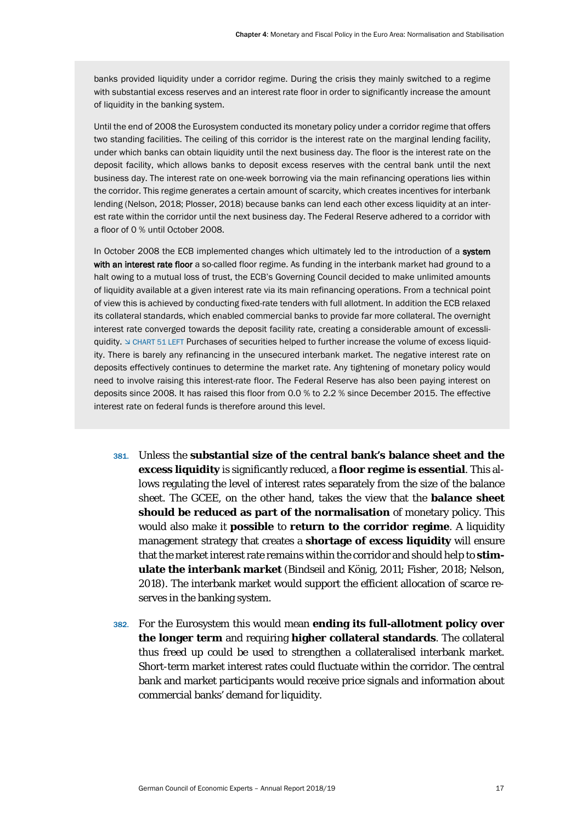banks provided liquidity under a corridor regime. During the crisis they mainly switched to a regime with substantial excess reserves and an interest rate floor in order to significantly increase the amount of liquidity in the banking system.

Until the end of 2008 the Eurosystem conducted its monetary policy under a corridor regime that offers two standing facilities. The ceiling of this corridor is the interest rate on the marginal lending facility, under which banks can obtain liquidity until the next business day. The floor is the interest rate on the deposit facility, which allows banks to deposit excess reserves with the central bank until the next business day. The interest rate on one-week borrowing via the main refinancing operations lies within the corridor. This regime generates a certain amount of scarcity, which creates incentives for interbank lending (Nelson, 2018; Plosser, 2018) because banks can lend each other excess liquidity at an interest rate within the corridor until the next business day. The Federal Reserve adhered to a corridor with a floor of 0 % until October 2008.

In October 2008 the ECB implemented changes which ultimately led to the introduction of a system with an interest rate floor a so-called floor regime. As funding in the interbank market had ground to a halt owing to a mutual loss of trust, the ECB's Governing Council decided to make unlimited amounts of liquidity available at a given interest rate via its main refinancing operations. From a technical point of view this is achieved by conducting fixed-rate tenders with full allotment. In addition the ECB relaxed its collateral standards, which enabled commercial banks to provide far more collateral. The overnight interest rate converged towards the deposit facility rate, creating a considerable amount of excessliquidity. If CHART 51 LEFT Purchases of securities helped to further increase the volume of excess liquidity. There is barely any refinancing in the unsecured interbank market. The negative interest rate on deposits effectively continues to determine the market rate. Any tightening of monetary policy would need to involve raising this interest-rate floor. The Federal Reserve has also been paying interest on deposits since 2008. It has raised this floor from 0.0 % to 2.2 % since December 2015. The effective interest rate on federal funds is therefore around this level.

- 381. Unless the **substantial size of the central bank's balance sheet and the excess liquidity** is significantly reduced, a **floor regime is essential**. This allows regulating the level of interest rates separately from the size of the balance sheet. The GCEE, on the other hand, takes the view that the **balance sheet should be reduced as part of the normalisation** of monetary policy. This would also make it **possible** to **return to the corridor regime**. A liquidity management strategy that creates a **shortage of excess liquidity** will ensure that the market interest rate remains within the corridor and should help to **stimulate the interbank market** (Bindseil and König, 2011; Fisher, 2018; Nelson, 2018). The interbank market would support the efficient allocation of scarce reserves in the banking system.
- 382. For the Eurosystem this would mean **ending its full-allotment policy over the longer term** and requiring **higher collateral standards**. The collateral thus freed up could be used to strengthen a collateralised interbank market. Short-term market interest rates could fluctuate within the corridor. The central bank and market participants would receive price signals and information about commercial banks' demand for liquidity.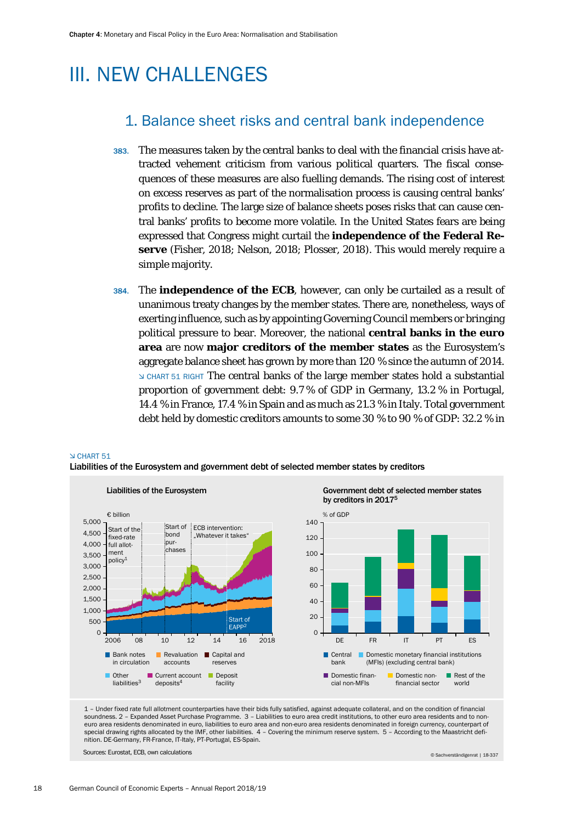## <span id="page-18-1"></span><span id="page-18-0"></span>III. NEW CHALLENGES

## 1. Balance sheet risks and central bank independence

- 383. The measures taken by the central banks to deal with the financial crisis have attracted vehement criticism from various political quarters. The fiscal consequences of these measures are also fuelling demands. The rising cost of interest on excess reserves as part of the normalisation process is causing central banks' profits to decline. The large size of balance sheets poses risks that can cause central banks' profits to become more volatile. In the United States fears are being expressed that Congress might curtail the **independence of the Federal Reserve** (Fisher, 2018; Nelson, 2018; Plosser, 2018). This would merely require a simple majority.
- 384. The **independence of the ECB**, however, can only be curtailed as a result of unanimous treaty changes by the member states. There are, nonetheless, ways of exerting influence, such as by appointing Governing Council members or bringing political pressure to bear. Moreover, the national **central banks in the euro area** are now **major creditors of the member states** as the Eurosystem's aggregate balance sheet has grown by more than 120 % since the autumn of 2014. CHART 51 RIGHT The central banks of the large member states hold a substantial proportion of government debt: 9.7 % of GDP in Germany, 13.2 % in Portugal, 14.4 % in France, 17.4 % in Spain and as much as 21.3 % in Italy. Total government debt held by domestic creditors amounts to some 30 % to 90 % of GDP: 32.2 % in

#### CHART 51

Liabilities of the Eurosystem and government debt of selected member states by creditors



1 – Under fixed rate full allotment counterparties have their bids fully satisfied, against adequate collateral, and on the condition of financial soundness. 2 – Expanded Asset Purchase Programme. 3 – Liabilities to euro area credit institutions, to other euro area residents and to noneuro area residents denominated in euro, liabilities to euro area and non-euro area residents denominated in foreign currency, counterpart of special drawing rights allocated by the IMF, other liabilities. 4 – Covering the minimum reserve system. 5 – According to the Maastricht definition. DE-Germany, FR-France, IT-Italy, PT-Portugal, ES-Spain.

Sources: Eurostat, ECB, own calculations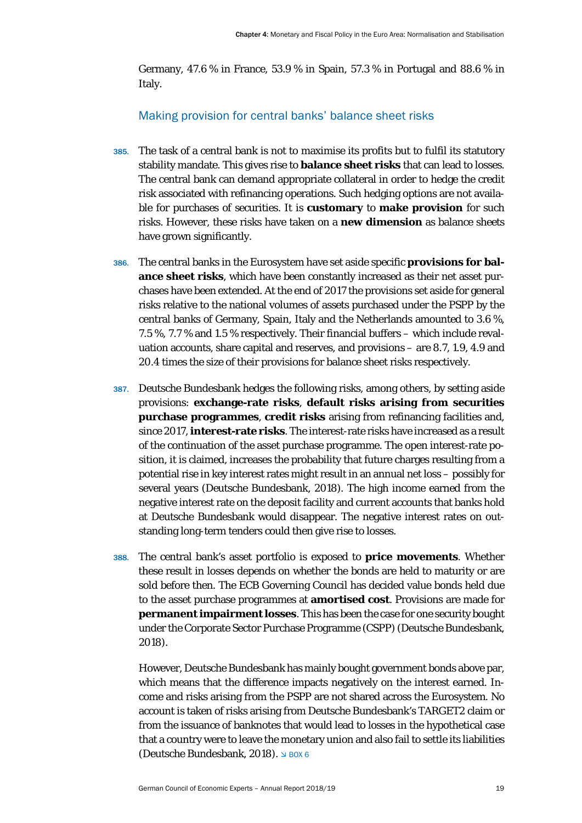Germany, 47.6 % in France, 53.9 % in Spain, 57.3 % in Portugal and 88.6 % in Italy.

#### Making provision for central banks' balance sheet risks

- <span id="page-19-0"></span>385. The task of a central bank is not to maximise its profits but to fulfil its statutory stability mandate. This gives rise to **balance sheet risks** that can lead to losses. The central bank can demand appropriate collateral in order to hedge the credit risk associated with refinancing operations. Such hedging options are not available for purchases of securities. It is **customary** to **make provision** for such risks. However, these risks have taken on a **new dimension** as balance sheets have grown significantly.
- 386. The central banks in the Eurosystem have set aside specific **provisions for balance sheet risks**, which have been constantly increased as their net asset purchases have been extended. At the end of 2017 the provisions set aside for general risks relative to the national volumes of assets purchased under the PSPP by the central banks of Germany, Spain, Italy and the Netherlands amounted to 3.6 %, 7.5 %, 7.7 % and 1.5 % respectively. Their financial buffers – which include revaluation accounts, share capital and reserves, and provisions – are 8.7, 1.9, 4.9 and 20.4 times the size of their provisions for balance sheet risks respectively.
- 387. Deutsche Bundesbank hedges the following risks, among others, by setting aside provisions: **exchange-rate risks**, **default risks arising from securities purchase programmes**, **credit risks** arising from refinancing facilities and, since 2017, **interest-rate risks**. The interest-rate risks have increased as a result of the continuation of the asset purchase programme. The open interest-rate position, it is claimed, increases the probability that future charges resulting from a potential rise in key interest rates might result in an annual net loss – possibly for several years (Deutsche Bundesbank, 2018). The high income earned from the negative interest rate on the deposit facility and current accounts that banks hold at Deutsche Bundesbank would disappear. The negative interest rates on outstanding long-term tenders could then give rise to losses.
- 388. The central bank's asset portfolio is exposed to **price movements**. Whether these result in losses depends on whether the bonds are held to maturity or are sold before then. The ECB Governing Council has decided value bonds held due to the asset purchase programmes at **amortised cost**. Provisions are made for **permanent impairment losses**. This has been the case for one security bought under the Corporate Sector Purchase Programme (CSPP) (Deutsche Bundesbank, 2018).

However, Deutsche Bundesbank has mainly bought government bonds above par, which means that the difference impacts negatively on the interest earned. Income and risks arising from the PSPP are not shared across the Eurosystem. No account is taken of risks arising from Deutsche Bundesbank's TARGET2 claim or from the issuance of banknotes that would lead to losses in the hypothetical case that a country were to leave the monetary union and also fail to settle its liabilities (Deutsche Bundesbank, 2018).  $\triangle$  BOX 6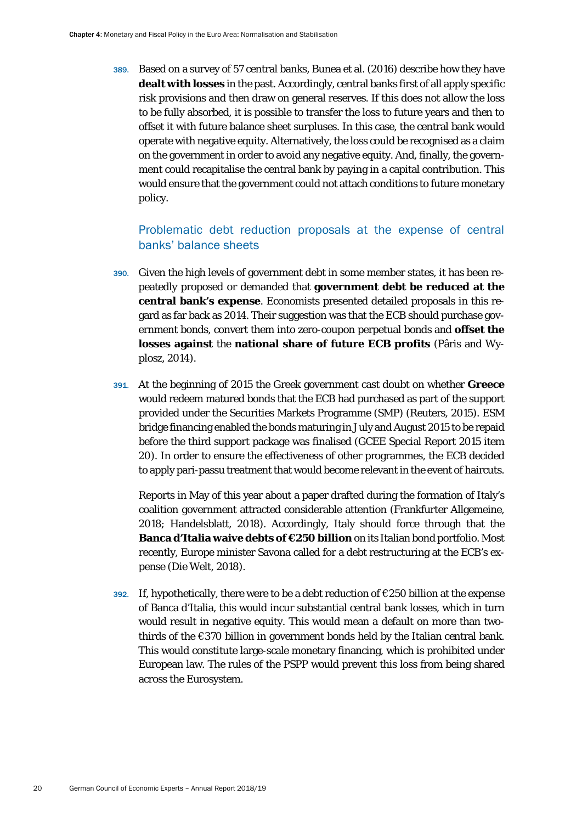389. Based on a survey of 57 central banks, Bunea et al. (2016) describe how they have **dealt with losses** in the past. Accordingly, central banks first of all apply specific risk provisions and then draw on general reserves. If this does not allow the loss to be fully absorbed, it is possible to transfer the loss to future years and then to offset it with future balance sheet surpluses. In this case, the central bank would operate with negative equity. Alternatively, the loss could be recognised as a claim on the government in order to avoid any negative equity. And, finally, the government could recapitalise the central bank by paying in a capital contribution. This would ensure that the government could not attach conditions to future monetary policy.

### Problematic debt reduction proposals at the expense of central banks' balance sheets

- <span id="page-20-0"></span>390. Given the high levels of government debt in some member states, it has been repeatedly proposed or demanded that **government debt be reduced at the central bank's expense**. Economists presented detailed proposals in this regard as far back as 2014. Their suggestion was that the ECB should purchase government bonds, convert them into zero-coupon perpetual bonds and **offset the losses against** the **national share of future ECB profits** (Pâris and Wyplosz, 2014).
- 391. At the beginning of 2015 the Greek government cast doubt on whether **Greece** would redeem matured bonds that the ECB had purchased as part of the support provided under the Securities Markets Programme (SMP) (Reuters, 2015). ESM bridge financing enabled the bonds maturing in July and August 2015 to be repaid before the third support package was finalised (GCEE Special Report 2015 item 20). In order to ensure the effectiveness of other programmes, the ECB decided to apply pari-passu treatment that would become relevant in the event of haircuts.

Reports in May of this year about a paper drafted during the formation of Italy's coalition government attracted considerable attention (Frankfurter Allgemeine, 2018; Handelsblatt, 2018). Accordingly, Italy should force through that the **Banca d'Italia waive debts of €250 billion** on its Italian bond portfolio. Most recently, Europe minister Savona called for a debt restructuring at the ECB's expense (Die Welt, 2018).

392. If, hypothetically, there were to be a debt reduction of  $\epsilon$ 250 billion at the expense of Banca d'Italia, this would incur substantial central bank losses, which in turn would result in negative equity. This would mean a default on more than twothirds of the €370 billion in government bonds held by the Italian central bank. This would constitute large-scale monetary financing, which is prohibited under European law. The rules of the PSPP would prevent this loss from being shared across the Eurosystem.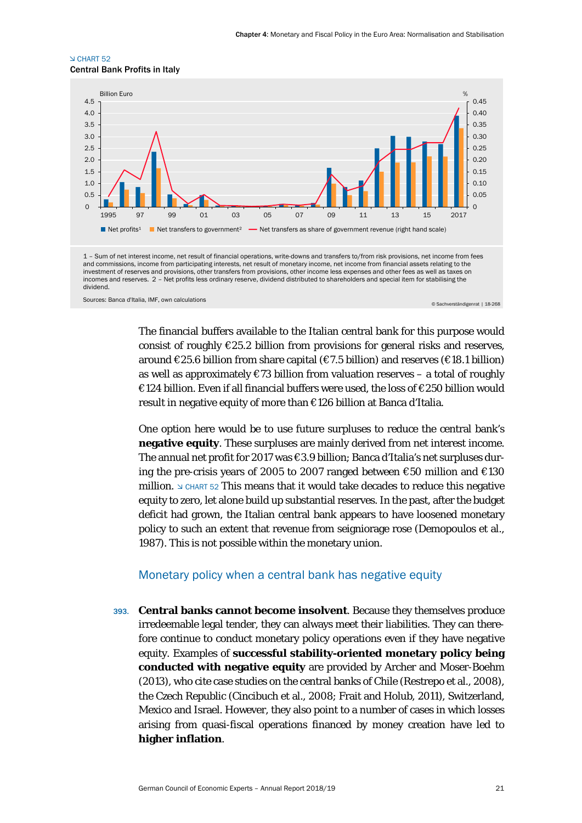#### CHART 52 Central Bank Profits in Italy



The financial buffers available to the Italian central bank for this purpose would consist of roughly  $E25.2$  billion from provisions for general risks and reserves, around  $\epsilon$ 25.6 billion from share capital ( $\epsilon$ 7.5 billion) and reserves ( $\epsilon$ 18.1 billion) as well as approximately  $\epsilon$ 73 billion from valuation reserves – a total of roughly €124 billion. Even if all financial buffers were used, the loss of €250 billion would result in negative equity of more than €126 billion at Banca d'Italia.

One option here would be to use future surpluses to reduce the central bank's **negative equity**. These surpluses are mainly derived from net interest income. The annual net profit for 2017 was €3.9 billion; Banca d'Italia's net surpluses during the pre-crisis years of 2005 to 2007 ranged between €50 million and €130 million.  $\triangle$  CHART 52 This means that it would take decades to reduce this negative equity to zero, let alone build up substantial reserves. In the past, after the budget deficit had grown, the Italian central bank appears to have loosened monetary policy to such an extent that revenue from seigniorage rose (Demopoulos et al., 1987). This is not possible within the monetary union.

#### Monetary policy when a central bank has negative equity

<span id="page-21-0"></span>393. **Central banks cannot become insolvent**. Because they themselves produce irredeemable legal tender, they can always meet their liabilities. They can therefore continue to conduct monetary policy operations even if they have negative equity. Examples of **successful stability-oriented monetary policy being conducted with negative equity** are provided by Archer and Moser-Boehm (2013), who cite case studies on the central banks of Chile (Restrepo et al., 2008), the Czech Republic (Cincibuch et al., 2008; Frait and Holub, 2011), Switzerland, Mexico and Israel. However, they also point to a number of cases in which losses arising from quasi-fiscal operations financed by money creation have led to **higher inflation**.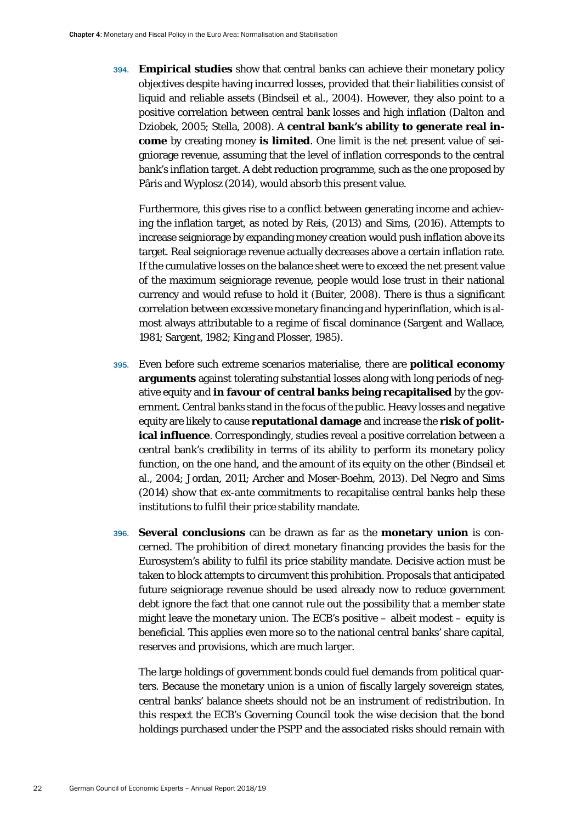394. **Empirical studies** show that central banks can achieve their monetary policy objectives despite having incurred losses, provided that their liabilities consist of liquid and reliable assets (Bindseil et al., 2004). However, they also point to a positive correlation between central bank losses and high inflation (Dalton and Dziobek, 2005; Stella, 2008). A **central bank's ability to generate real income** by creating money **is limited**. One limit is the net present value of seigniorage revenue, assuming that the level of inflation corresponds to the central bank's inflation target. A debt reduction programme, such as the one proposed by Pâris and Wyplosz (2014), would absorb this present value.

Furthermore, this gives rise to a conflict between generating income and achieving the inflation target, as noted by Reis, (2013) and Sims, (2016). Attempts to increase seigniorage by expanding money creation would push inflation above its target. Real seigniorage revenue actually decreases above a certain inflation rate. If the cumulative losses on the balance sheet were to exceed the net present value of the maximum seigniorage revenue, people would lose trust in their national currency and would refuse to hold it (Buiter, 2008). There is thus a significant correlation between excessive monetary financing and hyperinflation, which is almost always attributable to a regime of fiscal dominance (Sargent and Wallace, 1981; Sargent, 1982; King and Plosser, 1985).

- 395. Even before such extreme scenarios materialise, there are **political economy arguments** against tolerating substantial losses along with long periods of negative equity and **in favour of central banks being recapitalised** by the government. Central banks stand in the focus of the public. Heavy losses and negative equity are likely to cause **reputational damage** and increase the **risk of political influence**. Correspondingly, studies reveal a positive correlation between a central bank's credibility in terms of its ability to perform its monetary policy function, on the one hand, and the amount of its equity on the other (Bindseil et al., 2004; Jordan, 2011; Archer and Moser-Boehm, 2013). Del Negro and Sims (2014) show that ex-ante commitments to recapitalise central banks help these institutions to fulfil their price stability mandate.
- 396. **Several conclusions** can be drawn as far as the **monetary union** is concerned. The prohibition of direct monetary financing provides the basis for the Eurosystem's ability to fulfil its price stability mandate. Decisive action must be taken to block attempts to circumvent this prohibition. Proposals that anticipated future seigniorage revenue should be used already now to reduce government debt ignore the fact that one cannot rule out the possibility that a member state might leave the monetary union. The ECB's positive – albeit modest – equity is beneficial. This applies even more so to the national central banks' share capital, reserves and provisions, which are much larger.

The large holdings of government bonds could fuel demands from political quarters. Because the monetary union is a union of fiscally largely sovereign states, central banks' balance sheets should not be an instrument of redistribution. In this respect the ECB's Governing Council took the wise decision that the bond holdings purchased under the PSPP and the associated risks should remain with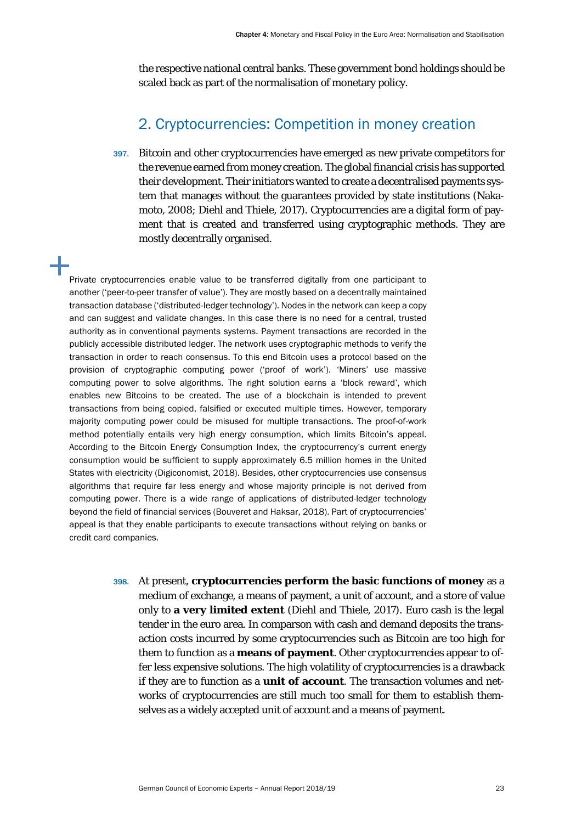the respective national central banks. These government bond holdings should be scaled back as part of the normalisation of monetary policy.

### 2. Cryptocurrencies: Competition in money creation

<span id="page-23-0"></span>397. Bitcoin and other cryptocurrencies have emerged as new private competitors for the revenue earned from money creation. The global financial crisis has supported their development. Their initiators wanted to create a decentralised payments system that manages without the guarantees provided by state institutions (Nakamoto, 2008; Diehl and Thiele, 2017). Cryptocurrencies are a digital form of payment that is created and transferred using cryptographic methods. They are mostly decentrally organised.

Private cryptocurrencies enable value to be transferred digitally from one participant to another ('peer-to-peer transfer of value'). They are mostly based on a decentrally maintained transaction database ('distributed-ledger technology'). Nodes in the network can keep a copy and can suggest and validate changes. In this case there is no need for a central, trusted authority as in conventional payments systems. Payment transactions are recorded in the publicly accessible distributed ledger. The network uses cryptographic methods to verify the transaction in order to reach consensus. To this end Bitcoin uses a protocol based on the provision of cryptographic computing power ('proof of work'). 'Miners' use massive computing power to solve algorithms. The right solution earns a 'block reward', which enables new Bitcoins to be created. The use of a blockchain is intended to prevent transactions from being copied, falsified or executed multiple times. However, temporary majority computing power could be misused for multiple transactions. The proof-of-work method potentially entails very high energy consumption, which limits Bitcoin's appeal. According to the Bitcoin Energy Consumption Index, the cryptocurrency's current energy consumption would be sufficient to supply approximately 6.5 million homes in the United States with electricity (Digiconomist, 2018). Besides, other cryptocurrencies use consensus algorithms that require far less energy and whose majority principle is not derived from computing power. There is a wide range of applications of distributed-ledger technology beyond the field of financial services (Bouveret and Haksar, 2018). Part of cryptocurrencies' appeal is that they enable participants to execute transactions without relying on banks or credit card companies.

> 398. At present, **cryptocurrencies perform the basic functions of money** as a medium of exchange, a means of payment, a unit of account, and a store of value only to **a very limited extent** (Diehl and Thiele, 2017). Euro cash is the legal tender in the euro area. In comparson with cash and demand deposits the transaction costs incurred by some cryptocurrencies such as Bitcoin are too high for them to function as a **means of payment**. Other cryptocurrencies appear to offer less expensive solutions. The high volatility of cryptocurrencies is a drawback if they are to function as a **unit of account**. The transaction volumes and networks of cryptocurrencies are still much too small for them to establish themselves as a widely accepted unit of account and a means of payment.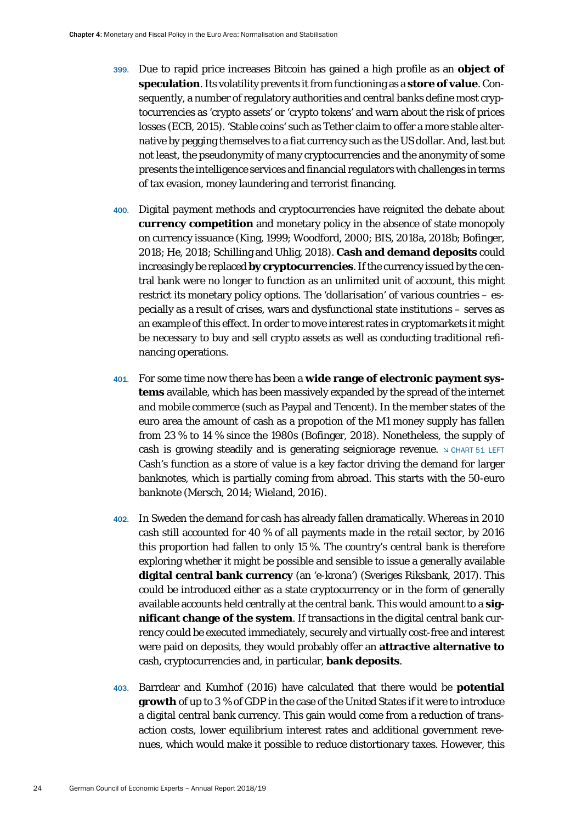- 399. Due to rapid price increases Bitcoin has gained a high profile as an **object of speculation**. Its volatility prevents it from functioning as a **store of value**. Consequently, a number of regulatory authorities and central banks define most cryptocurrencies as 'crypto assets' or 'crypto tokens' and warn about the risk of prices losses (ECB, 2015). 'Stable coins' such as Tether claim to offer a more stable alternative by pegging themselves to a fiat currency such as the US dollar. And, last but not least, the pseudonymity of many cryptocurrencies and the anonymity of some presents the intelligence services and financial regulators with challenges in terms of tax evasion, money laundering and terrorist financing.
- 400. Digital payment methods and cryptocurrencies have reignited the debate about **currency competition** and monetary policy in the absence of state monopoly on currency issuance (King, 1999; Woodford, 2000; BIS, 2018a, 2018b; Bofinger, 2018; He, 2018; Schilling and Uhlig, 2018). **Cash and demand deposits** could increasingly be replaced **by cryptocurrencies**. If the currency issued by the central bank were no longer to function as an unlimited unit of account, this might restrict its monetary policy options. The 'dollarisation' of various countries – especially as a result of crises, wars and dysfunctional state institutions – serves as an example of this effect. In order to move interest rates in cryptomarkets it might be necessary to buy and sell crypto assets as well as conducting traditional refinancing operations.
- 401. For some time now there has been a **wide range of electronic payment systems** available, which has been massively expanded by the spread of the internet and mobile commerce (such as Paypal and Tencent). In the member states of the euro area the amount of cash as a propotion of the M1 money supply has fallen from 23 % to 14 % since the 1980s (Bofinger, 2018). Nonetheless, the supply of cash is growing steadily and is generating seigniorage revenue.  $\triangle$  CHART 51 LEFT Cash's function as a store of value is a key factor driving the demand for larger banknotes, which is partially coming from abroad. This starts with the 50-euro banknote (Mersch, 2014; Wieland, 2016).
- 402. In Sweden the demand for cash has already fallen dramatically. Whereas in 2010 cash still accounted for 40 % of all payments made in the retail sector, by 2016 this proportion had fallen to only 15 %. The country's central bank is therefore exploring whether it might be possible and sensible to issue a generally available **digital central bank currency** (an 'e-krona') (Sveriges Riksbank, 2017). This could be introduced either as a state cryptocurrency or in the form of generally available accounts held centrally at the central bank. This would amount to a **significant change of the system**. If transactions in the digital central bank currency could be executed immediately, securely and virtually cost-free and interest were paid on deposits, they would probably offer an **attractive alternative to** cash, cryptocurrencies and, in particular, **bank deposits**.
- 403. Barrdear and Kumhof (2016) have calculated that there would be **potential growth** of up to 3 % of GDP in the case of the United States if it were to introduce a digital central bank currency. This gain would come from a reduction of transaction costs, lower equilibrium interest rates and additional government revenues, which would make it possible to reduce distortionary taxes. However, this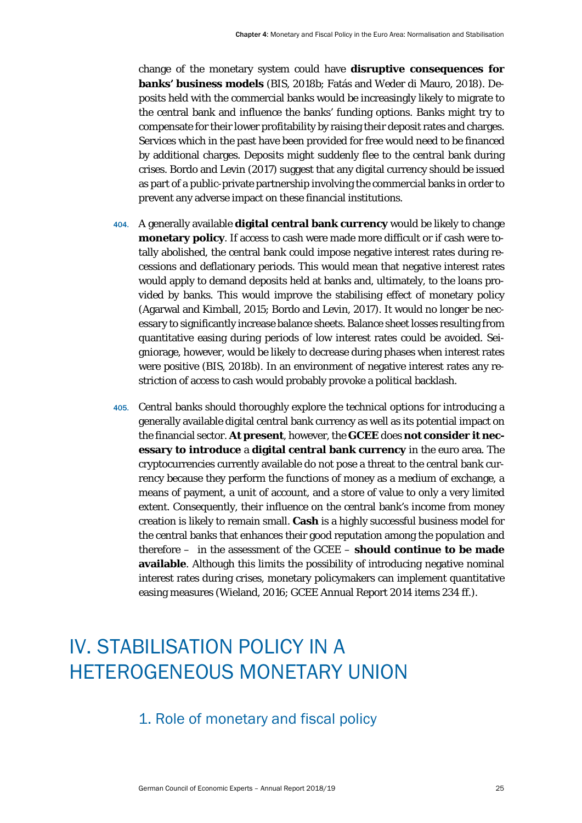change of the monetary system could have **disruptive consequences for banks' business models** (BIS, 2018b; Fatás and Weder di Mauro, 2018). Deposits held with the commercial banks would be increasingly likely to migrate to the central bank and influence the banks' funding options. Banks might try to compensate for their lower profitability by raising their deposit rates and charges. Services which in the past have been provided for free would need to be financed by additional charges. Deposits might suddenly flee to the central bank during crises. Bordo and Levin (2017) suggest that any digital currency should be issued as part of a public-private partnership involving the commercial banks in order to prevent any adverse impact on these financial institutions.

- 404. A generally available **digital central bank currency** would be likely to change **monetary policy**. If access to cash were made more difficult or if cash were totally abolished, the central bank could impose negative interest rates during recessions and deflationary periods. This would mean that negative interest rates would apply to demand deposits held at banks and, ultimately, to the loans provided by banks. This would improve the stabilising effect of monetary policy (Agarwal and Kimball, 2015; Bordo and Levin, 2017). It would no longer be necessary to significantly increase balance sheets. Balance sheet losses resulting from quantitative easing during periods of low interest rates could be avoided. Seigniorage, however, would be likely to decrease during phases when interest rates were positive (BIS, 2018b). In an environment of negative interest rates any restriction of access to cash would probably provoke a political backlash.
- 405. Central banks should thoroughly explore the technical options for introducing a generally available digital central bank currency as well as its potential impact on the financial sector. **At present**, however, the **GCEE** does **not consider it necessary to introduce** a **digital central bank currency** in the euro area. The cryptocurrencies currently available do not pose a threat to the central bank currency because they perform the functions of money as a medium of exchange, a means of payment, a unit of account, and a store of value to only a very limited extent. Consequently, their influence on the central bank's income from money creation is likely to remain small. **Cash** is a highly successful business model for the central banks that enhances their good reputation among the population and therefore – in the assessment of the GCEE – **should continue to be made available**. Although this limits the possibility of introducing negative nominal interest rates during crises, monetary policymakers can implement quantitative easing measures (Wieland, 2016; GCEE Annual Report 2014 items 234 ff.).

## <span id="page-25-1"></span><span id="page-25-0"></span>IV. STABILISATION POLICY IN A HETEROGENEOUS MONETARY UNION

## 1. Role of monetary and fiscal policy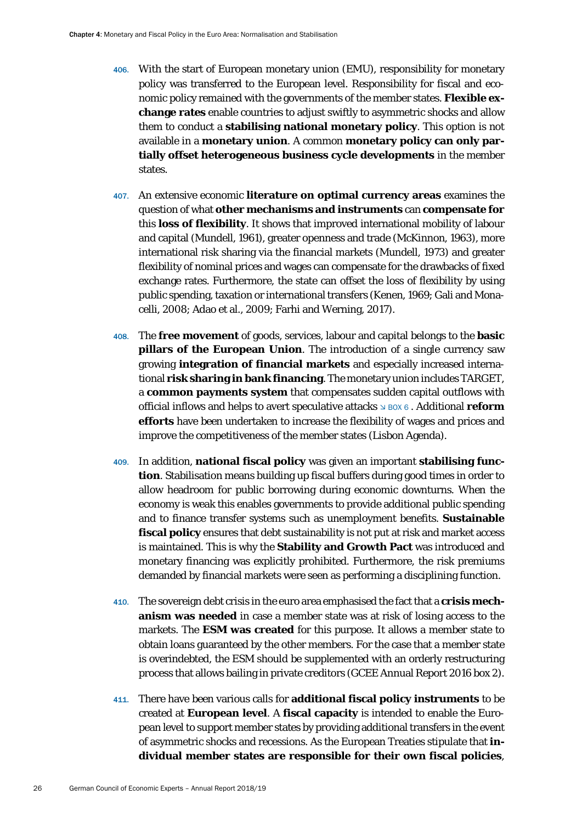- 406. With the start of European monetary union (EMU), responsibility for monetary policy was transferred to the European level. Responsibility for fiscal and economic policy remained with the governments of the member states. **Flexible exchange rates** enable countries to adjust swiftly to asymmetric shocks and allow them to conduct a **stabilising national monetary policy**. This option is not available in a **monetary union**. A common **monetary policy can only partially offset heterogeneous business cycle developments** in the member states.
- 407. An extensive economic **literature on optimal currency areas** examines the question of what **other mechanisms and instruments** can **compensate for** this **loss of flexibility**. It shows that improved international mobility of labour and capital (Mundell, 1961), greater openness and trade (McKinnon, 1963), more international risk sharing via the financial markets (Mundell, 1973) and greater flexibility of nominal prices and wages can compensate for the drawbacks of fixed exchange rates. Furthermore, the state can offset the loss of flexibility by using public spending, taxation or international transfers (Kenen, 1969; Gali and Monacelli, 2008; Adao et al., 2009; Farhi and Werning, 2017).
- 408. The **free movement** of goods, services, labour and capital belongs to the **basic pillars of the European Union**. The introduction of a single currency saw growing **integration of financial markets** and especially increased international **risk sharing in bank financing**. The monetary union includes TARGET, a **common payments system** that compensates sudden capital outflows with official inflows and helps to avert speculative attacks  $\triangle$  BOX 6. Additional **reform efforts** have been undertaken to increase the flexibility of wages and prices and improve the competitiveness of the member states (Lisbon Agenda).
- 409. In addition, **national fiscal policy** was given an important **stabilising function**. Stabilisation means building up fiscal buffers during good times in order to allow headroom for public borrowing during economic downturns. When the economy is weak this enables governments to provide additional public spending and to finance transfer systems such as unemployment benefits. **Sustainable fiscal policy** ensures that debt sustainability is not put at risk and market access is maintained. This is why the **Stability and Growth Pact** was introduced and monetary financing was explicitly prohibited. Furthermore, the risk premiums demanded by financial markets were seen as performing a disciplining function.
- 410. The sovereign debt crisis in the euro area emphasised the fact that a **crisis mechanism was needed** in case a member state was at risk of losing access to the markets. The **ESM was created** for this purpose. It allows a member state to obtain loans guaranteed by the other members. For the case that a member state is overindebted, the ESM should be supplemented with an orderly restructuring process that allows bailing in private creditors (GCEE Annual Report 2016 box 2).
- 411. There have been various calls for **additional fiscal policy instruments** to be created at **European level**. A **fiscal capacity** is intended to enable the European level to support member states by providing additional transfers in the event of asymmetric shocks and recessions. As the European Treaties stipulate that **individual member states are responsible for their own fiscal policies**,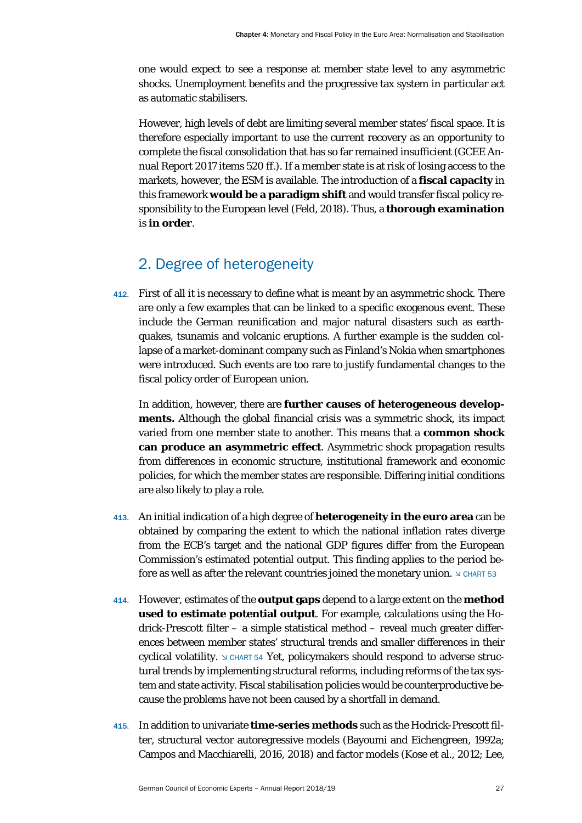one would expect to see a response at member state level to any asymmetric shocks. Unemployment benefits and the progressive tax system in particular act as automatic stabilisers.

However, high levels of debt are limiting several member states' fiscal space. It is therefore especially important to use the current recovery as an opportunity to complete the fiscal consolidation that has so far remained insufficient (GCEE Annual Report 2017 items 520 ff.). If a member state is at risk of losing access to the markets, however, the ESM is available. The introduction of a **fiscal capacity** in this framework **would be a paradigm shift** and would transfer fiscal policy responsibility to the European level (Feld, 2018). Thus, a **thorough examination**  is **in order**.

### 2. Degree of heterogeneity

<span id="page-27-0"></span>412. First of all it is necessary to define what is meant by an asymmetric shock. There are only a few examples that can be linked to a specific exogenous event. These include the German reunification and major natural disasters such as earthquakes, tsunamis and volcanic eruptions. A further example is the sudden collapse of a market-dominant company such as Finland's Nokia when smartphones were introduced. Such events are too rare to justify fundamental changes to the fiscal policy order of European union.

In addition, however, there are **further causes of heterogeneous developments.** Although the global financial crisis was a symmetric shock, its impact varied from one member state to another. This means that a **common shock can produce an asymmetric effect**. Asymmetric shock propagation results from differences in economic structure, institutional framework and economic policies, for which the member states are responsible. Differing initial conditions are also likely to play a role.

- 413. An initial indication of a high degree of **heterogeneity in the euro area** can be obtained by comparing the extent to which the national inflation rates diverge from the ECB's target and the national GDP figures differ from the European Commission's estimated potential output. This finding applies to the period before as well as after the relevant countries joined the monetary union.  $\Delta \text{ CHART 53}$
- 414. However, estimates of the **output gaps** depend to a large extent on the **method used to estimate potential output**. For example, calculations using the Hodrick-Prescott filter – a simple statistical method – reveal much greater differences between member states' structural trends and smaller differences in their cyclical volatility.  $\triangle$  CHART 54 Yet, policymakers should respond to adverse structural trends by implementing structural reforms, including reforms of the tax system and state activity. Fiscal stabilisation policies would be counterproductive because the problems have not been caused by a shortfall in demand.
- 415. In addition to univariate **time-series methods** such as the Hodrick-Prescott filter, structural vector autoregressive models (Bayoumi and Eichengreen, 1992a; Campos and Macchiarelli, 2016, 2018) and factor models (Kose et al., 2012; Lee,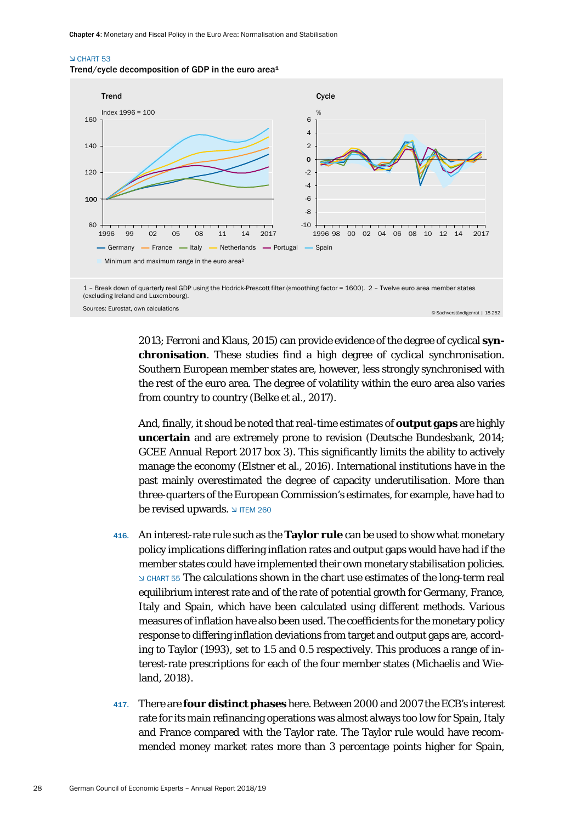#### CHART 53





(excluding Ireland and Luxembourg).

Sources: Eurostat, own calculations © Sachverständigenrat | 18-252

2013; Ferroni and Klaus, 2015) can provide evidence of the degree of cyclical **synchronisation**. These studies find a high degree of cyclical synchronisation. Southern European member states are, however, less strongly synchronised with the rest of the euro area. The degree of volatility within the euro area also varies from country to country (Belke et al., 2017).

And, finally, it shoud be noted that real-time estimates of **output gaps** are highly **uncertain** and are extremely prone to revision (Deutsche Bundesbank, 2014; GCEE Annual Report 2017 box 3). This significantly limits the ability to actively manage the economy (Elstner et al., 2016). International institutions have in the past mainly overestimated the degree of capacity underutilisation. More than three-quarters of the European Commission's estimates, for example, have had to be revised upwards.  $\triangle$  ITEM 260

- 416. An interest-rate rule such as the **Taylor rule** can be used to show what monetary policy implications differing inflation rates and output gaps would have had if the member states could have implemented their own monetary stabilisation policies. CHART 55 The calculations shown in the chart use estimates of the long-term real equilibrium interest rate and of the rate of potential growth for Germany, France, Italy and Spain, which have been calculated using different methods. Various measures of inflation have also been used. The coefficients for the monetary policy response to differing inflation deviations from target and output gaps are, according to Taylor (1993), set to 1.5 and 0.5 respectively. This produces a range of interest-rate prescriptions for each of the four member states (Michaelis and Wieland, 2018).
- 417. There are **four distinct phases** here. Between 2000 and 2007 the ECB's interest rate for its main refinancing operations was almost always too low for Spain, Italy and France compared with the Taylor rate. The Taylor rule would have recommended money market rates more than 3 percentage points higher for Spain,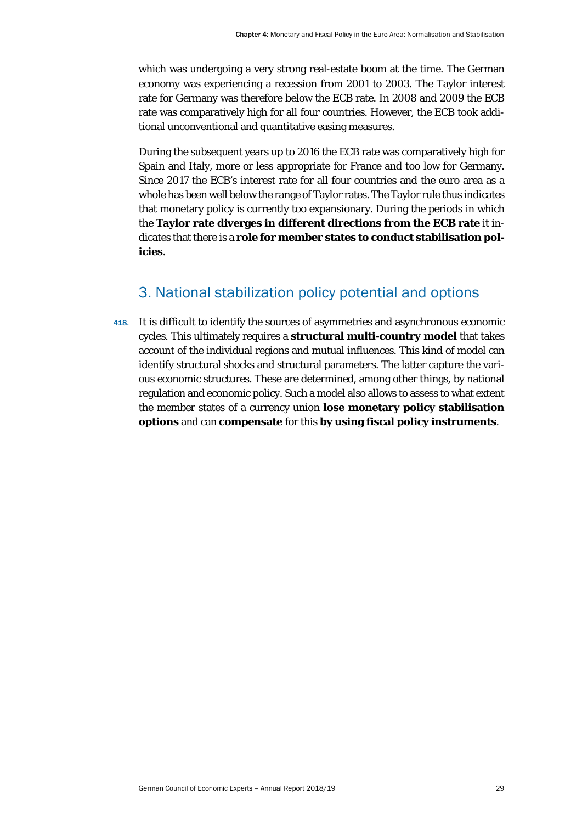which was undergoing a very strong real-estate boom at the time. The German economy was experiencing a recession from 2001 to 2003. The Taylor interest rate for Germany was therefore below the ECB rate. In 2008 and 2009 the ECB rate was comparatively high for all four countries. However, the ECB took additional unconventional and quantitative easing measures.

During the subsequent years up to 2016 the ECB rate was comparatively high for Spain and Italy, more or less appropriate for France and too low for Germany. Since 2017 the ECB's interest rate for all four countries and the euro area as a whole has been well below the range of Taylor rates. The Taylor rule thus indicates that monetary policy is currently too expansionary. During the periods in which the **Taylor rate diverges in different directions from the ECB rate** it indicates that there is a **role for member states to conduct stabilisation policies**.

## 3. National stabilization policy potential and options

<span id="page-29-0"></span>418. It is difficult to identify the sources of asymmetries and asynchronous economic cycles. This ultimately requires a **structural multi-country model** that takes account of the individual regions and mutual influences. This kind of model can identify structural shocks and structural parameters. The latter capture the various economic structures. These are determined, among other things, by national regulation and economic policy. Such a model also allows to assess to what extent the member states of a currency union **lose monetary policy stabilisation options** and can **compensate** for this **by using fiscal policy instruments**.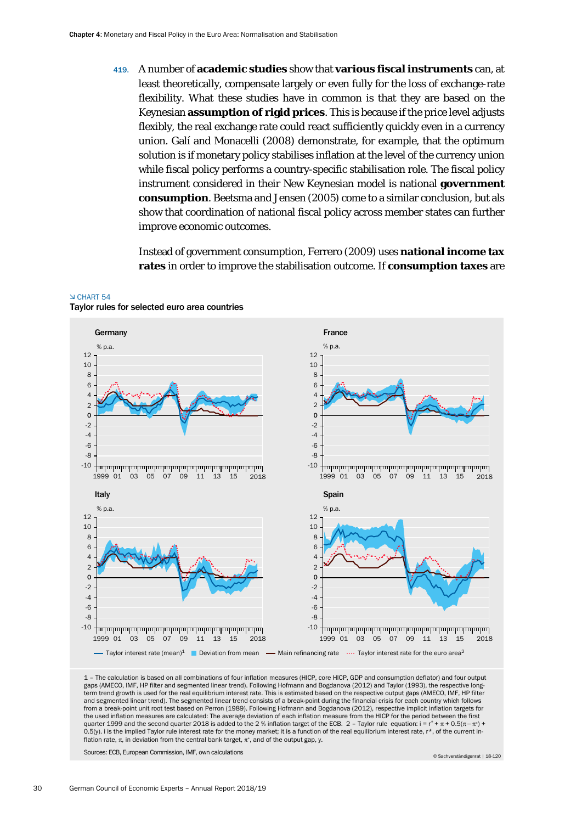419. A number of **academic studies** show that **various fiscal instruments** can, at least theoretically, compensate largely or even fully for the loss of exchange-rate flexibility. What these studies have in common is that they are based on the Keynesian **assumption of rigid prices**. This is because if the price level adjusts flexibly, the real exchange rate could react sufficiently quickly even in a currency union. Galí and Monacelli (2008) demonstrate, for example, that the optimum solution is if monetary policy stabilises inflation at the level of the currency union while fiscal policy performs a country-specific stabilisation role. The fiscal policy instrument considered in their New Keynesian model is national **government consumption**. Beetsma and Jensen (2005) come to a similar conclusion, but als show that coordination of national fiscal policy across member states can further improve economic outcomes.

Instead of government consumption, Ferrero (2009) uses **national income tax rates** in order to improve the stabilisation outcome. If **consumption taxes** are



#### 1 – The calculation is based on all combinations of four inflation measures (HICP, core HICP, GDP and consumption deflator) and four output gaps (AMECO, IMF, HP filter and segmented linear trend). Following Hofmann and Bogdanova (2012) and Taylor (1993), the respective longterm trend growth is used for the real equilibrium interest rate. This is estimated based on the respective output gaps (AMECO, IMF, HP filter and segmented linear trend). The segmented linear trend consists of a break-point during the financial crisis for each country which follows from a break-point unit root test based on Perron (1989). Following Hofmann and Bogdanova (2012), respective implicit inflation targets for the used inflation measures are calculated: The average deviation of each inflation measure from the HICP for the period between the first quarter 1999 and the second quarter 2018 is added to the 2 % inflation target of the ECB. 2 - Taylor rule equation: i =  $r^* + \pi + 0.5(\pi - \pi^*)$ 0.5(y). i is the implied Taylor rule interest rate for the money market; it is a function of the real equilibrium interest rate, r\*, of the current inflation rate,  $\pi$ , in deviation from the central bank target,  $\pi^*$ , and of the output gap, y.

Sources: ECB, European Commission, IMF, own calculations

© Sachverständigenrat | 18-120

 CHART 54 Taylor rules for selected euro area countries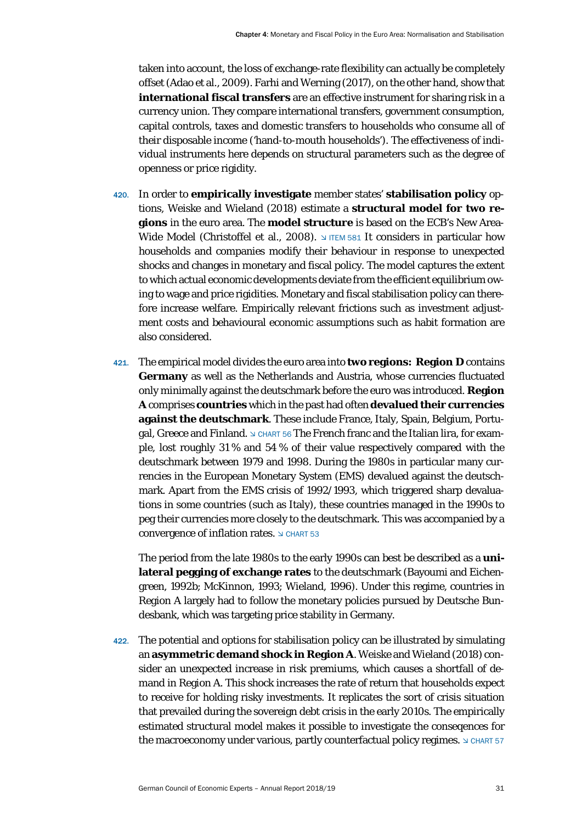taken into account, the loss of exchange-rate flexibility can actually be completely offset (Adao et al., 2009). Farhi and Werning (2017), on the other hand, show that **international fiscal transfers** are an effective instrument for sharing risk in a currency union. They compare international transfers, government consumption, capital controls, taxes and domestic transfers to households who consume all of their disposable income ('hand-to-mouth households'). The effectiveness of individual instruments here depends on structural parameters such as the degree of openness or price rigidity.

- 420. In order to **empirically investigate** member states' **stabilisation policy** options, Weiske and Wieland (2018) estimate a **structural model for two regions** in the euro area. The **model structure** is based on the ECB's New Area-Wide Model (Christoffel et al., 2008). It considers in particular how households and companies modify their behaviour in response to unexpected shocks and changes in monetary and fiscal policy. The model captures the extent to which actual economic developments deviate from the efficient equilibrium owing to wage and price rigidities. Monetary and fiscal stabilisation policy can therefore increase welfare. Empirically relevant frictions such as investment adjustment costs and behavioural economic assumptions such as habit formation are also considered.
- 421. The empirical model divides the euro area into **two regions: Region D** contains **Germany** as well as the Netherlands and Austria, whose currencies fluctuated only minimally against the deutschmark before the euro was introduced. **Region A** comprises **countries** which in the past had often **devalued their currencies against the deutschmark**. These include France, Italy, Spain, Belgium, Portugal, Greece and Finland.  $\trianglelefteq$  CHART 56 The French franc and the Italian lira, for example, lost roughly 31 % and 54 % of their value respectively compared with the deutschmark between 1979 and 1998. During the 1980s in particular many currencies in the European Monetary System (EMS) devalued against the deutschmark. Apart from the EMS crisis of 1992/1993, which triggered sharp devaluations in some countries (such as Italy), these countries managed in the 1990s to peg their currencies more closely to the deutschmark. This was accompanied by a convergence of inflation rates.  $\triangle$  CHART 53

The period from the late 1980s to the early 1990s can best be described as a **unilateral pegging of exchange rates** to the deutschmark (Bayoumi and Eichengreen, 1992b; McKinnon, 1993; Wieland, 1996). Under this regime, countries in Region A largely had to follow the monetary policies pursued by Deutsche Bundesbank, which was targeting price stability in Germany.

422. The potential and options for stabilisation policy can be illustrated by simulating an **asymmetric demand shock in Region A**. Weiske and Wieland (2018) consider an unexpected increase in risk premiums, which causes a shortfall of demand in Region A. This shock increases the rate of return that households expect to receive for holding risky investments. It replicates the sort of crisis situation that prevailed during the sovereign debt crisis in the early 2010s. The empirically estimated structural model makes it possible to investigate the conseqences for the macroeconomy under various, partly counterfactual policy regimes.  $\Delta$  CHART 57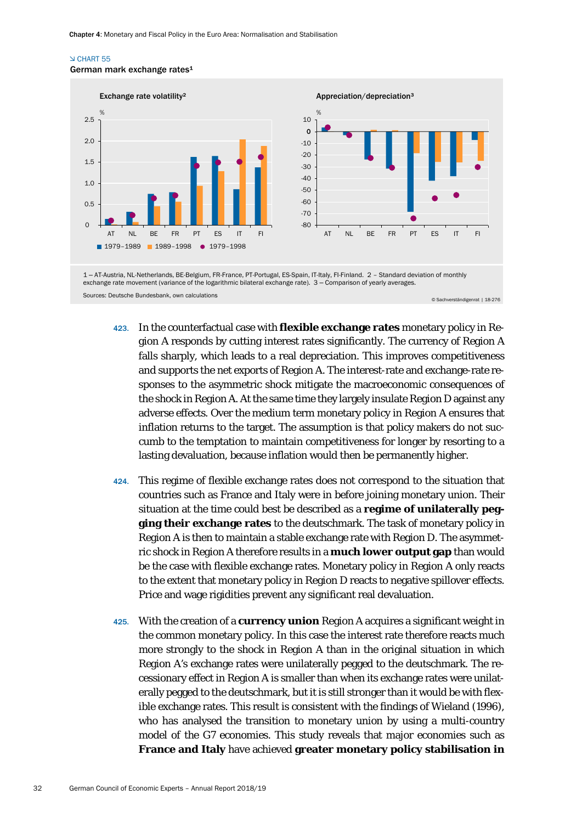#### CHART 55





Sources: Deutsche Bundesbank, own calculations © Sachverständigenrat | 18-276

- 423. In the counterfactual case with **flexible exchange rates** monetary policy in Region A responds by cutting interest rates significantly. The currency of Region A falls sharply, which leads to a real depreciation. This improves competitiveness and supports the net exports of Region A. The interest-rate and exchange-rate responses to the asymmetric shock mitigate the macroeconomic consequences of the shock in Region A. At the same time they largely insulate Region D against any adverse effects. Over the medium term monetary policy in Region A ensures that inflation returns to the target. The assumption is that policy makers do not succumb to the temptation to maintain competitiveness for longer by resorting to a lasting devaluation, because inflation would then be permanently higher.
- 424. This regime of flexible exchange rates does not correspond to the situation that countries such as France and Italy were in before joining monetary union. Their situation at the time could best be described as a **regime of unilaterally pegging their exchange rates** to the deutschmark. The task of monetary policy in Region A is then to maintain a stable exchange rate with Region D. The asymmetric shock in Region A therefore results in a **much lower output gap** than would be the case with flexible exchange rates. Monetary policy in Region A only reacts to the extent that monetary policy in Region D reacts to negative spillover effects. Price and wage rigidities prevent any significant real devaluation.
- 425. With the creation of a **currency union** Region A acquires a significant weight in the common monetary policy. In this case the interest rate therefore reacts much more strongly to the shock in Region A than in the original situation in which Region A's exchange rates were unilaterally pegged to the deutschmark. The recessionary effect in Region A is smaller than when its exchange rates were unilaterally pegged to the deutschmark, but it is still stronger than it would be with flexible exchange rates. This result is consistent with the findings of Wieland (1996), who has analysed the transition to monetary union by using a multi-country model of the G7 economies. This study reveals that major economies such as **France and Italy** have achieved **greater monetary policy stabilisation in**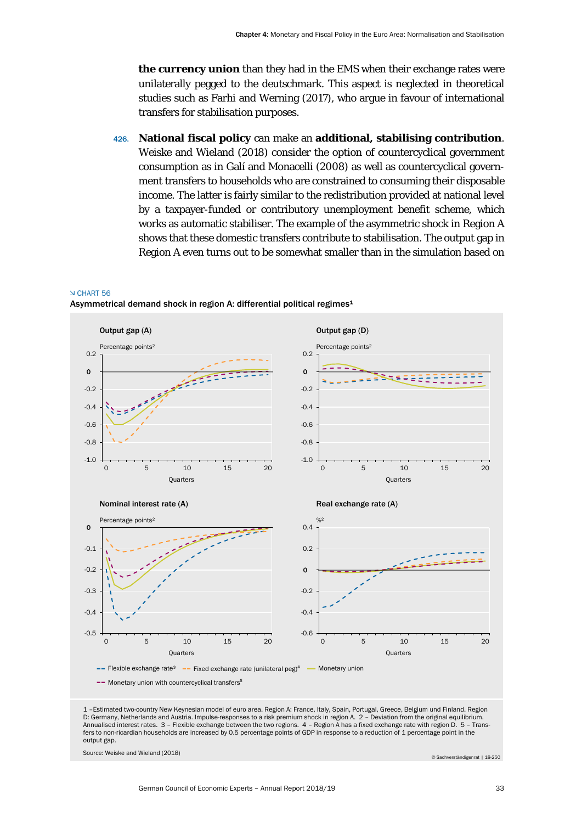**the currency union** than they had in the EMS when their exchange rates were unilaterally pegged to the deutschmark. This aspect is neglected in theoretical studies such as Farhi and Werning (2017), who argue in favour of international transfers for stabilisation purposes.

426. **National fiscal policy** can make an **additional, stabilising contribution**. Weiske and Wieland (2018) consider the option of countercyclical government consumption as in Galí and Monacelli (2008) as well as countercyclical government transfers to households who are constrained to consuming their disposable income. The latter is fairly similar to the redistribution provided at national level by a taxpayer-funded or contributory unemployment benefit scheme, which works as automatic stabiliser. The example of the asymmetric shock in Region A shows that these domestic transfers contribute to stabilisation. The output gap in Region A even turns out to be somewhat smaller than in the simulation based on

#### CHART 56

Asymmetrical demand shock in region A: differential political regimes<sup>1</sup>



D: Germany, Netherlands and Austria. Impulse-responses to a risk premium shock in region A. 2 – Deviation from the original equilibrium. Annualised interest rates. 3 – Flexible exchange between the two regions. 4 – Region A has a fixed exchange rate with region D. 5 – Transfers to non-ricardian households are increased by 0.5 percentage points of GDP in response to a reduction of 1 percentage point in the output gap.

Source: Weiske and Wieland (2018) © Sachverständigenrat | 18-250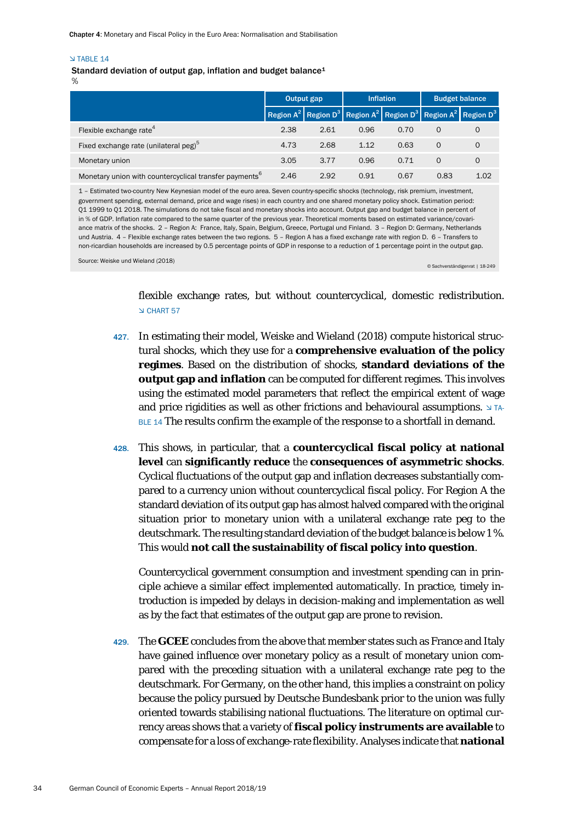#### $\sqrt{TARIF}$  14

Standard deviation of output gap, inflation and budget balance<sup>1</sup>

%

|                                                                    | Output gap |      |      | <b>Inflation</b> | <b>Budget balance</b> |                                                                                                          |
|--------------------------------------------------------------------|------------|------|------|------------------|-----------------------|----------------------------------------------------------------------------------------------------------|
|                                                                    |            |      |      |                  |                       | Region $A^2$ Region D <sup>3</sup> Region $A^2$ Region D <sup>3</sup> Region $A^2$ Region D <sup>3</sup> |
| Flexible exchange rate <sup>4</sup>                                | 2.38       | 2.61 | 0.96 | 0.70             | $\Omega$              | 0                                                                                                        |
| Fixed exchange rate (unilateral peg) <sup>3</sup>                  | 4.73       | 2.68 | 1.12 | 0.63             | $\Omega$              | $\Omega$                                                                                                 |
| Monetary union                                                     | 3.05       | 3.77 | 0.96 | 0.71             | $\Omega$              | O                                                                                                        |
| Monetary union with countercyclical transfer payments <sup>o</sup> | 2.46       | 2.92 | 0.91 | 0.67             | 0.83                  | 1.02                                                                                                     |

1 – Estimated two-country New Keynesian model of the euro area. Seven country-specific shocks (technology, risk premium, investment, government spending, external demand, price and wage rises) in each country and one shared monetary policy shock. Estimation period: Q1 1999 to Q1 2018. The simulations do not take fiscal and monetary shocks into account. Output gap and budget balance in percent of in % of GDP. Inflation rate compared to the same quarter of the previous year. Theoretical moments based on estimated variance/covariance matrix of the shocks. 2 – Region A: France, Italy, Spain, Belgium, Greece, Portugal und Finland. 3 – Region D: Germany, Netherlands und Austria. 4 – Flexible exchange rates between the two regions. 5 – Region A has a fixed exchange rate with region D. 6 – Transfers to non-ricardian households are increased by 0.5 percentage points of GDP in response to a reduction of 1 percentage point in the output gap.

Source: Weiske und Wieland (2018) © Sachverständigenrat | 18-249

flexible exchange rates, but without countercyclical, domestic redistribution. CHART 57

- 427. In estimating their model, Weiske and Wieland (2018) compute historical structural shocks, which they use for a **comprehensive evaluation of the policy regimes**. Based on the distribution of shocks, **standard deviations of the output gap and inflation** can be computed for different regimes. This involves using the estimated model parameters that reflect the empirical extent of wage and price rigidities as well as other frictions and behavioural assumptions.  $\Delta T A$ -BLE 14 The results confirm the example of the response to a shortfall in demand.
- 428. This shows, in particular, that a **countercyclical fiscal policy at national level** can **significantly reduce** the **consequences of asymmetric shocks**. Cyclical fluctuations of the output gap and inflation decreases substantially compared to a currency union without countercyclical fiscal policy. For Region A the standard deviation of its output gap has almost halved compared with the original situation prior to monetary union with a unilateral exchange rate peg to the deutschmark. The resulting standard deviation of the budget balance is below 1 %. This would **not call the sustainability of fiscal policy into question**.

Countercyclical government consumption and investment spending can in principle achieve a similar effect implemented automatically. In practice, timely introduction is impeded by delays in decision-making and implementation as well as by the fact that estimates of the output gap are prone to revision.

429. The **GCEE** concludes from the above that member states such as France and Italy have gained influence over monetary policy as a result of monetary union compared with the preceding situation with a unilateral exchange rate peg to the deutschmark. For Germany, on the other hand, this implies a constraint on policy because the policy pursued by Deutsche Bundesbank prior to the union was fully oriented towards stabilising national fluctuations. The literature on optimal currency areas shows that a variety of **fiscal policy instruments are available** to compensate for a loss of exchange-rate flexibility. Analyses indicate that **national**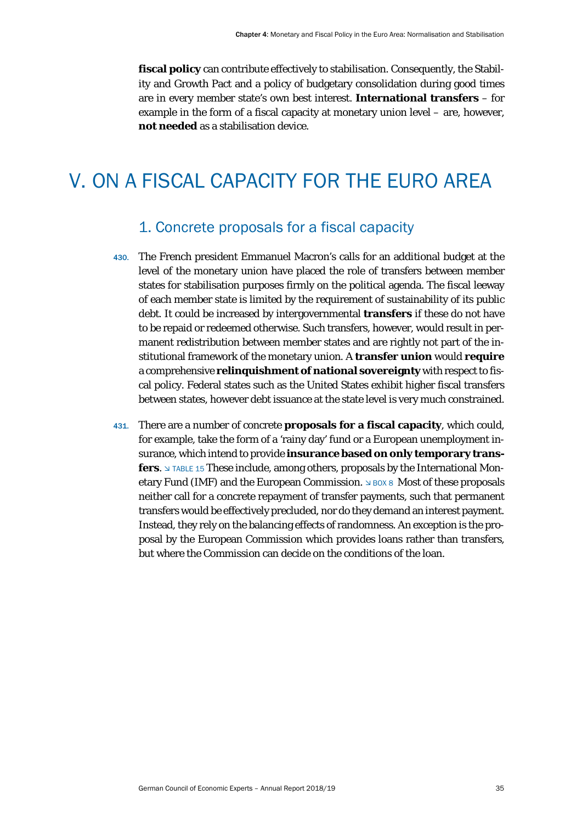fiscal policy can contribute effectively to stabilisation. Consequently, the Stability and Growth Pact and a policy of budgetary consolidation during good times are in every member state's own best interest. **International transfers** – for example in the form of a fiscal capacity at monetary union level – are, however, **not needed** as a stabilisation device.

## <span id="page-35-1"></span><span id="page-35-0"></span>V. ON A FISCAL CAPACITY FOR THE EURO AREA

## 1. Concrete proposals for a fiscal capacity

- 430. The French president Emmanuel Macron's calls for an additional budget at the level of the monetary union have placed the role of transfers between member states for stabilisation purposes firmly on the political agenda. The fiscal leeway of each member state is limited by the requirement of sustainability of its public debt. It could be increased by intergovernmental **transfers** if these do not have to be repaid or redeemed otherwise. Such transfers, however, would result in permanent redistribution between member states and are rightly not part of the institutional framework of the monetary union. A **transfer union** would **require** a comprehensive **relinquishment of national sovereignty** with respect to fiscal policy. Federal states such as the United States exhibit higher fiscal transfers between states, however debt issuance at the state level is very much constrained.
- 431. There are a number of concrete **proposals for a fiscal capacity**, which could, for example, take the form of a 'rainy day' fund or a European unemployment insurance, which intend to provide **insurance based on only temporary transfers.** I TABLE 15 These include, among others, proposals by the International Monetary Fund (IMF) and the European Commission.  $\triangle$  BOX 8 Most of these proposals neither call for a concrete repayment of transfer payments, such that permanent transfers would be effectively precluded, nor do they demand an interest payment. Instead, they rely on the balancing effects of randomness. An exception is the proposal by the European Commission which provides loans rather than transfers, but where the Commission can decide on the conditions of the loan.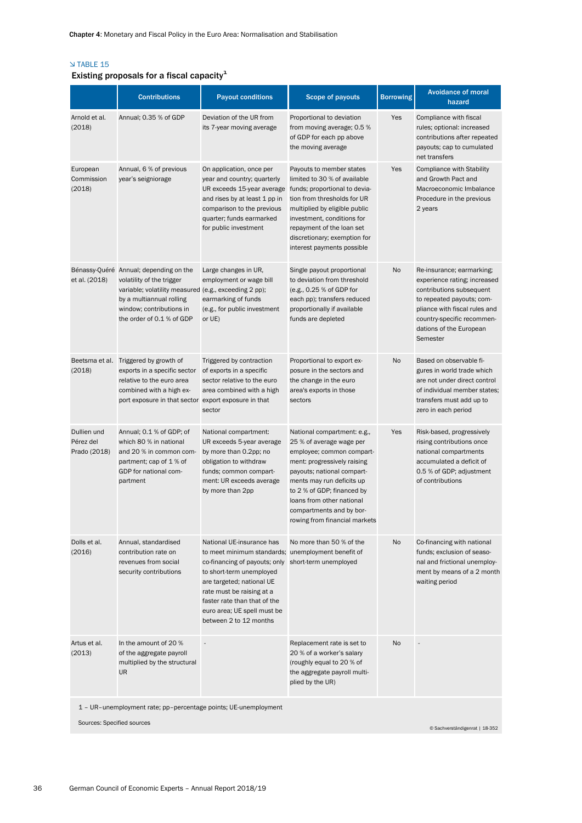#### TABLE 15

### Existing proposals for a fiscal capacity $^1$

|                                          | <b>Contributions</b>                                                                                                                                                                                              | <b>Payout conditions</b>                                                                                                                                                                                                                                                                        | Scope of payouts                                                                                                                                                                                                                                                                                       | <b>Borrowing</b> | <b>Avoidance of moral</b><br>hazard                                                                                                                                                                                      |
|------------------------------------------|-------------------------------------------------------------------------------------------------------------------------------------------------------------------------------------------------------------------|-------------------------------------------------------------------------------------------------------------------------------------------------------------------------------------------------------------------------------------------------------------------------------------------------|--------------------------------------------------------------------------------------------------------------------------------------------------------------------------------------------------------------------------------------------------------------------------------------------------------|------------------|--------------------------------------------------------------------------------------------------------------------------------------------------------------------------------------------------------------------------|
| Arnold et al.<br>(2018)                  | Annual; 0.35 % of GDP                                                                                                                                                                                             | Deviation of the UR from<br>its 7-year moving average                                                                                                                                                                                                                                           | Proportional to deviation<br>from moving average; 0.5 %<br>of GDP for each pp above<br>the moving average                                                                                                                                                                                              | Yes              | Compliance with fiscal<br>rules; optional: increased<br>contributions after repeated<br>payouts; cap to cumulated<br>net transfers                                                                                       |
| European<br>Commission<br>(2018)         | Annual, 6 % of previous<br>year's seigniorage                                                                                                                                                                     | On application, once per<br>year and country; quarterly<br>UR exceeds 15-year average<br>and rises by at least 1 pp in<br>comparison to the previous<br>quarter; funds earmarked<br>for public investment                                                                                       | Payouts to member states<br>limited to 30 % of available<br>funds; proportional to devia-<br>tion from thresholds for UR<br>multiplied by eligible public<br>investment, conditions for<br>repayment of the loan set<br>discretionary; exemption for<br>interest payments possible                     | Yes              | <b>Compliance with Stability</b><br>and Growth Pact and<br>Macroeconomic Imbalance<br>Procedure in the previous<br>2 years                                                                                               |
| et al. (2018)                            | Bénassy-Quéré Annual; depending on the<br>volatility of the trigger<br>variable; volatility measured (e.g., exceeding 2 pp);<br>by a multiannual rolling<br>window; contributions in<br>the order of 0.1 % of GDP | Large changes in UR,<br>employment or wage bill<br>earmarking of funds<br>(e.g., for public investment<br>or UE)                                                                                                                                                                                | Single payout proportional<br>to deviation from threshold<br>(e.g., 0.25 % of GDP for<br>each pp); transfers reduced<br>proportionally if available<br>funds are depleted                                                                                                                              | No               | Re-insurance; earmarking;<br>experience rating; increased<br>contributions subsequent<br>to repeated payouts; com-<br>pliance with fiscal rules and<br>country-specific recommen-<br>dations of the European<br>Semester |
| Beetsma et al.<br>(2018)                 | Triggered by growth of<br>exports in a specific sector<br>relative to the euro area<br>combined with a high ex-<br>port exposure in that sector export exposure in that                                           | Triggered by contraction<br>of exports in a specific<br>sector relative to the euro<br>area combined with a high<br>sector                                                                                                                                                                      | Proportional to export ex-<br>posure in the sectors and<br>the change in the euro<br>area's exports in those<br>sectors                                                                                                                                                                                | No               | Based on observable fi-<br>gures in world trade which<br>are not under direct control<br>of individual member states:<br>transfers must add up to<br>zero in each period                                                 |
| Dullien und<br>Pérez del<br>Prado (2018) | Annual; 0.1 % of GDP; of<br>which 80 % in national<br>and 20 % in common com-<br>partment; cap of 1 % of<br>GDP for national com-<br>partment                                                                     | National compartment:<br>UR exceeds 5-year average<br>by more than 0.2pp; no<br>obligation to withdraw<br>funds; common compart-<br>ment: UR exceeds average<br>by more than 2pp                                                                                                                | National compartment: e.g.,<br>25 % of average wage per<br>employee; common compart-<br>ment: progressively raising<br>payouts; national compart-<br>ments may run deficits up<br>to 2 % of GDP; financed by<br>loans from other national<br>compartments and by bor-<br>rowing from financial markets | Yes              | Risk-based, progressively<br>rising contributions once<br>national compartments<br>accumulated a deficit of<br>0.5 % of GDP; adjustment<br>of contributions                                                              |
| Dolls et al.<br>(2016)                   | Annual, standardised<br>contribution rate on<br>revenues from social<br>security contributions                                                                                                                    | National UE-insurance has<br>to meet minimum standards; unemployment benefit of<br>co-financing of payouts; only<br>to short-term unemployed<br>are targeted; national UE<br>rate must be raising at a<br>faster rate than that of the<br>euro area; UE spell must be<br>between 2 to 12 months | No more than 50 % of the<br>short-term unemployed                                                                                                                                                                                                                                                      | No               | Co-financing with national<br>funds; exclusion of seaso-<br>nal and frictional unemploy-<br>ment by means of a 2 month<br>waiting period                                                                                 |
| Artus et al.<br>(2013)                   | In the amount of 20 %<br>of the aggregate payroll<br>multiplied by the structural<br><b>UR</b><br>1 - UR-unemployment rate; pp-percentage points; UE-unemployment                                                 | ÷,                                                                                                                                                                                                                                                                                              | Replacement rate is set to<br>20 % of a worker's salary<br>(roughly equal to 20 % of<br>the aggregate payroll multi-<br>plied by the UR)                                                                                                                                                               | No               |                                                                                                                                                                                                                          |

Sources: Specified sources © Sachverständigenrat | 18-352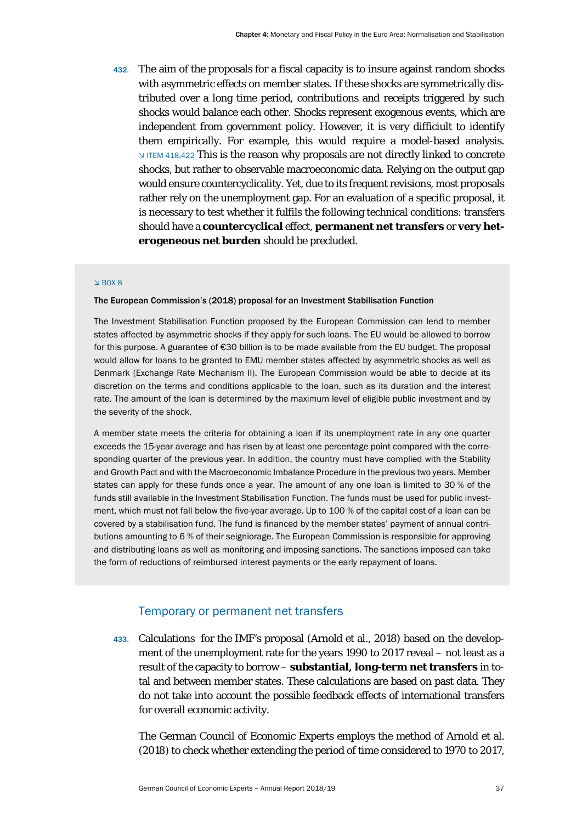432. The aim of the proposals for a fiscal capacity is to insure against random shocks with asymmetric effects on member states. If these shocks are symmetrically distributed over a long time period, contributions and receipts triggered by such shocks would balance each other. Shocks represent exogenous events, which are independent from government policy. However, it is very difficiult to identify them empirically. For example, this would require a model-based analysis. ITEM 418,422 This is the reason why proposals are not directly linked to concrete shocks, but rather to observable macroeconomic data. Relying on the output gap would ensure countercyclicality. Yet, due to its frequent revisions, most proposals rather rely on the unemployment gap. For an evaluation of a specific proposal, it is necessary to test whether it fulfils the following technical conditions: transfers should have a **countercyclical** effect, **permanent net transfers** or **very heterogeneous net burden** should be precluded.

#### $BOX 8$

#### The European Commission's (2018) proposal for an Investment Stabilisation Function

The Investment Stabilisation Function proposed by the European Commission can lend to member states affected by asymmetric shocks if they apply for such loans. The EU would be allowed to borrow for this purpose. A guarantee of €30 billion is to be made available from the EU budget. The proposal would allow for loans to be granted to EMU member states affected by asymmetric shocks as well as Denmark (Exchange Rate Mechanism II). The European Commission would be able to decide at its discretion on the terms and conditions applicable to the loan, such as its duration and the interest rate. The amount of the loan is determined by the maximum level of eligible public investment and by the severity of the shock.

A member state meets the criteria for obtaining a loan if its unemployment rate in any one quarter exceeds the 15-year average and has risen by at least one percentage point compared with the corresponding quarter of the previous year. In addition, the country must have complied with the Stability and Growth Pact and with the Macroeconomic Imbalance Procedure in the previous two years. Member states can apply for these funds once a year. The amount of any one loan is limited to 30 % of the funds still available in the Investment Stabilisation Function. The funds must be used for public investment, which must not fall below the five-year average. Up to 100 % of the capital cost of a loan can be covered by a stabilisation fund. The fund is financed by the member states' payment of annual contributions amounting to 6 % of their seigniorage. The European Commission is responsible for approving and distributing loans as well as monitoring and imposing sanctions. The sanctions imposed can take the form of reductions of reimbursed interest payments or the early repayment of loans.

#### Temporary or permanent net transfers

<span id="page-37-0"></span>433. Calculations for the IMF's proposal (Arnold et al., 2018) based on the development of the unemployment rate for the years 1990 to 2017 reveal – not least as a result of the capacity to borrow – **substantial, long-term net transfers** in total and between member states. These calculations are based on past data. They do not take into account the possible feedback effects of international transfers for overall economic activity.

The German Council of Economic Experts employs the method of Arnold et al. (2018) to check whether extending the period of time considered to 1970 to 2017,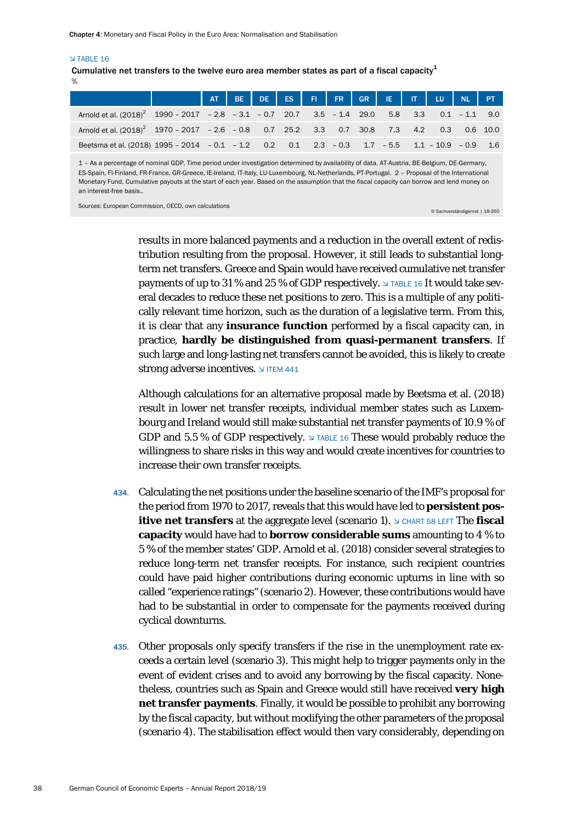#### **NTABLE 16**

% Cumulative net transfers to the twelve euro area member states as part of a fiscal capacity<sup>1</sup>

|                                                                                                      |  |  |  |  |  | AT BE DE ES FI FR GR IE IT LU NL PT |  |
|------------------------------------------------------------------------------------------------------|--|--|--|--|--|-------------------------------------|--|
| Arnold et al. $(2018)^2$ 1990 - 2017 - 2.8 - 3.1 - 0.7 20.7 3.5 - 1.4 29.0 5.8 3.3 0.1 - 1.1 9.0     |  |  |  |  |  |                                     |  |
| Arnold et al. (2018) <sup>2</sup> 1970 - 2017 - 2.6 - 0.8 0.7 25.2 3.3 0.7 30.8 7.3 4.2 0.3 0.6 10.0 |  |  |  |  |  |                                     |  |
| Beetsma et al. (2018) 1995 - 2014 - 0.1 - 1.2 0.2 0.1 2.3 - 0.3 1.7 - 5.5 1.1 - 10.9 - 0.9 1.6       |  |  |  |  |  |                                     |  |
|                                                                                                      |  |  |  |  |  |                                     |  |

1 – As a percentage of nominal GDP. Time period under investigation determined by availability of data. AT-Austria, BE-Belgium, DE-Germany, ES-Spain, FI-Finland, FR-France, GR-Greece, IE-Ireland, IT-Italy, LU-Luxembourg, NL-Netherlands, PT-Portugal. 2 – Proposal of the International Monetary Fund. Cumulative payouts at the start of each year. Based on the assumption that the fiscal capacity can borrow and lend money on an interest-free basis..

Sources: European Commission, OECD, own calculations © Sachverständigenrat | 18-350

results in more balanced payments and a reduction in the overall extent of redistribution resulting from the proposal. However, it still leads to substantial longterm net transfers. Greece and Spain would have received cumulative net transfer payments of up to 31 % and 25 % of GDP respectively.  $\triangle$  TABLE 16 It would take several decades to reduce these net positions to zero. This is a multiple of any politically relevant time horizon, such as the duration of a legislative term. From this, it is clear that any **insurance function** performed by a fiscal capacity can, in practice, **hardly be distinguished from quasi-permanent transfers**. If such large and long-lasting net transfers cannot be avoided, this is likely to create **strong adverse incentives.**  $\vee$  ITEM 441

Although calculations for an alternative proposal made by Beetsma et al. (2018) result in lower net transfer receipts, individual member states such as Luxembourg and Ireland would still make substantial net transfer payments of 10.9 % of GDP and 5.5 % of GDP respectively.  $\vee$  TABLE 16 These would probably reduce the willingness to share risks in this way and would create incentives for countries to increase their own transfer receipts.

- 434. Calculating the net positions under the baseline scenario of the IMF's proposal for the period from 1970 to 2017, reveals that this would have led to **persistent positive net transfers** at the aggregate level (scenario 1). In CHART 58 LEFT The **fiscal capacity** would have had to **borrow considerable sums** amounting to 4 % to 5 % of the member states' GDP. Arnold et al. (2018) consider several strategies to reduce long-term net transfer receipts. For instance, such recipient countries could have paid higher contributions during economic upturns in line with so called "experience ratings" (scenario 2). However, these contributions would have had to be substantial in order to compensate for the payments received during cyclical downturns.
- 435. Other proposals only specify transfers if the rise in the unemployment rate exceeds a certain level (scenario 3). This might help to trigger payments only in the event of evident crises and to avoid any borrowing by the fiscal capacity. Nonetheless, countries such as Spain and Greece would still have received **very high net transfer payments**. Finally, it would be possible to prohibit any borrowing by the fiscal capacity, but without modifying the other parameters of the proposal (scenario 4). The stabilisation effect would then vary considerably, depending on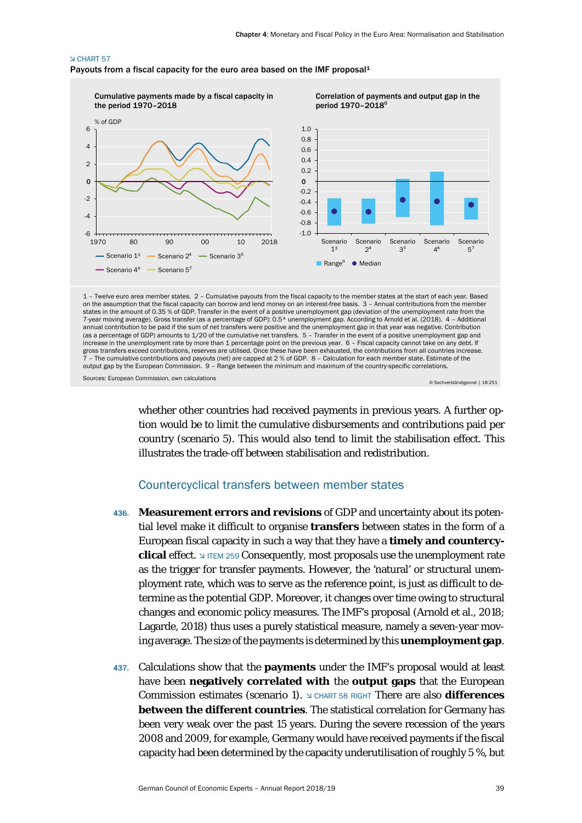#### **N CHART 57**

Payouts from a fiscal capacity for the euro area based on the IMF proposal<sup>1</sup>



annual contribution to be paid if the sum of net transfers were positive and the unemployment gap in that year was negative. Contribution (as a percentage of GDP) amounts to 1/20 of the cumulative net transfers. 5 – Transfer in the event of a positive unemployment gap and increase in the unemployment rate by more than 1 percentage point on the previous year. 6 – Fiscal capacity cannot take on any debt. If gross transfers exceed contributions, reserves are utilised. Once these have been exhausted, the contributions from all countries increase.<br>7 – The cumulative contributions and payouts (net) are capped at 2 % of GDP. 8 – output gap by the European Commission. 9 – Range between the minimum and maximum of the country-specific correlations.

Sources: European Commission, own calculations © Sachverständigenrat | 18-251

whether other countries had received payments in previous years. A further option would be to limit the cumulative disbursements and contributions paid per country (scenario 5). This would also tend to limit the stabilisation effect. This illustrates the trade-off between stabilisation and redistribution.

#### Countercyclical transfers between member states

- <span id="page-39-0"></span>436. **Measurement errors and revisions** of GDP and uncertainty about its potential level make it difficult to organise **transfers** between states in the form of a European fiscal capacity in such a way that they have a **timely and countercyclical** effect. ITEM 259 Consequently, most proposals use the unemployment rate as the trigger for transfer payments. However, the 'natural' or structural unemployment rate, which was to serve as the reference point, is just as difficult to determine as the potential GDP. Moreover, it changes over time owing to structural changes and economic policy measures. The IMF's proposal (Arnold et al., 2018; Lagarde, 2018) thus uses a purely statistical measure, namely a seven-year moving average. The size of the payments is determined by this **unemployment gap**.
- 437. Calculations show that the **payments** under the IMF's proposal would at least have been **negatively correlated with** the **output gaps** that the European Commission estimates (scenario 1). CHART 58 RIGHT There are also **differences between the different countries**. The statistical correlation for Germany has been very weak over the past 15 years. During the severe recession of the years 2008 and 2009, for example, Germany would have received payments if the fiscal capacity had been determined by the capacity underutilisation of roughly 5 %, but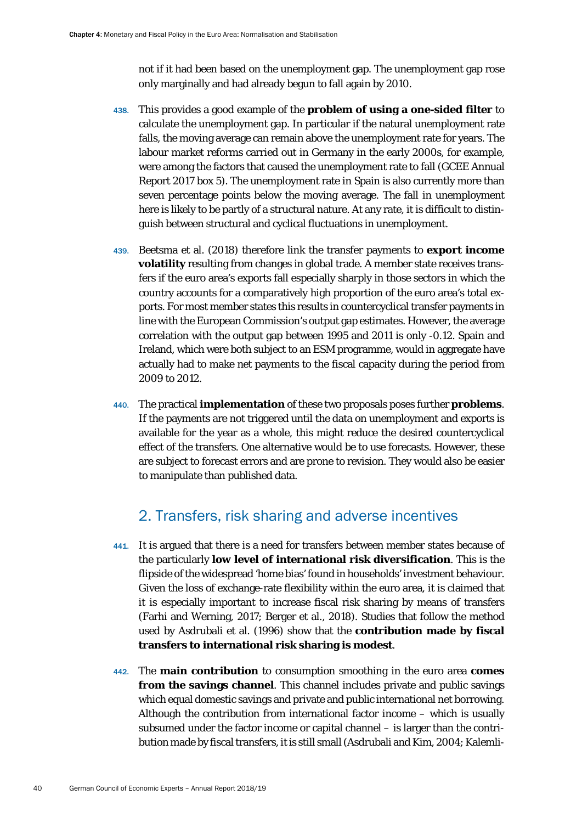not if it had been based on the unemployment gap. The unemployment gap rose only marginally and had already begun to fall again by 2010.

- 438. This provides a good example of the **problem of using a one-sided filter** to calculate the unemployment gap. In particular if the natural unemployment rate falls, the moving average can remain above the unemployment rate for years. The labour market reforms carried out in Germany in the early 2000s, for example, were among the factors that caused the unemployment rate to fall (GCEE Annual Report 2017 box 5). The unemployment rate in Spain is also currently more than seven percentage points below the moving average. The fall in unemployment here is likely to be partly of a structural nature. At any rate, it is difficult to distinguish between structural and cyclical fluctuations in unemployment.
- 439. Beetsma et al. (2018) therefore link the transfer payments to **export income volatility** resulting from changes in global trade. A member state receives transfers if the euro area's exports fall especially sharply in those sectors in which the country accounts for a comparatively high proportion of the euro area's total exports. For most member states this results in countercyclical transfer payments in line with the European Commission's output gap estimates. However, the average correlation with the output gap between 1995 and 2011 is only -0.12. Spain and Ireland, which were both subject to an ESM programme, would in aggregate have actually had to make net payments to the fiscal capacity during the period from 2009 to 2012.
- 440. The practical **implementation** of these two proposals poses further **problems**. If the payments are not triggered until the data on unemployment and exports is available for the year as a whole, this might reduce the desired countercyclical effect of the transfers. One alternative would be to use forecasts. However, these are subject to forecast errors and are prone to revision. They would also be easier to manipulate than published data.

### 2. Transfers, risk sharing and adverse incentives

- <span id="page-40-0"></span>441. It is argued that there is a need for transfers between member states because of the particularly **low level of international risk diversification**. This is the flipside of the widespread 'home bias' found in households' investment behaviour. Given the loss of exchange-rate flexibility within the euro area, it is claimed that it is especially important to increase fiscal risk sharing by means of transfers (Farhi and Werning, 2017; Berger et al., 2018). Studies that follow the method used by Asdrubali et al. (1996) show that the **contribution made by fiscal transfers to international risk sharing is modest**.
- 442. The **main contribution** to consumption smoothing in the euro area **comes from the savings channel**. This channel includes private and public savings which equal domestic savings and private and public international net borrowing. Although the contribution from international factor income – which is usually subsumed under the factor income or capital channel – is larger than the contribution made by fiscal transfers, it is still small (Asdrubali and Kim, 2004; Kalemli-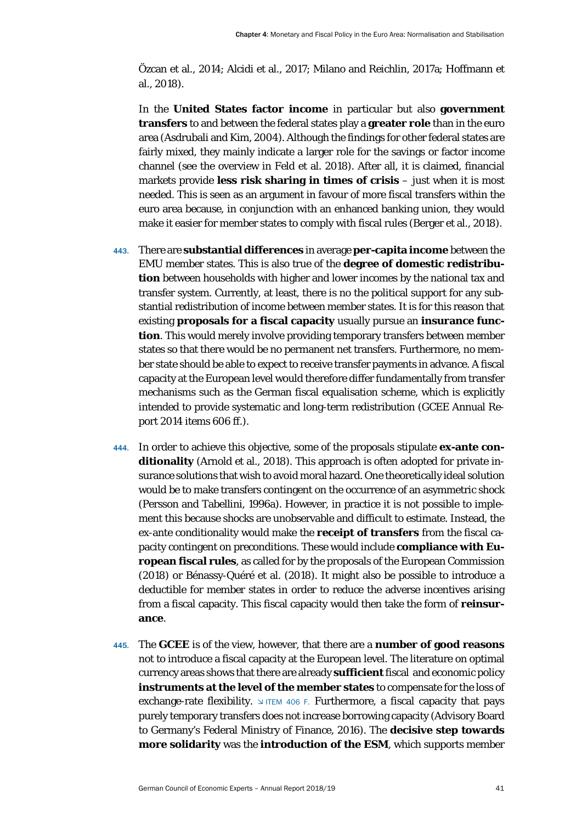Özcan et al., 2014; Alcidi et al., 2017; Milano and Reichlin, 2017a; Hoffmann et al., 2018).

In the **United States factor income** in particular but also **government transfers** to and between the federal states play a **greater role** than in the euro area (Asdrubali and Kim, 2004). Although the findings for other federal states are fairly mixed, they mainly indicate a larger role for the savings or factor income channel (see the overview in Feld et al. 2018). After all, it is claimed, financial markets provide **less risk sharing in times of crisis** – just when it is most needed. This is seen as an argument in favour of more fiscal transfers within the euro area because, in conjunction with an enhanced banking union, they would make it easier for member states to comply with fiscal rules (Berger et al., 2018).

- 443. There are **substantial differences** in average **per-capita income** between the EMU member states. This is also true of the **degree of domestic redistribution** between households with higher and lower incomes by the national tax and transfer system. Currently, at least, there is no the political support for any substantial redistribution of income between member states. It is for this reason that existing **proposals for a fiscal capacity** usually pursue an **insurance function**. This would merely involve providing temporary transfers between member states so that there would be no permanent net transfers. Furthermore, no member state should be able to expect to receive transfer payments in advance. A fiscal capacity at the European level would therefore differ fundamentally from transfer mechanisms such as the German fiscal equalisation scheme, which is explicitly intended to provide systematic and long-term redistribution (GCEE Annual Report 2014 items 606 ff.).
- 444. In order to achieve this objective, some of the proposals stipulate **ex-ante conditionality** (Arnold et al., 2018). This approach is often adopted for private insurance solutions that wish to avoid moral hazard. One theoretically ideal solution would be to make transfers contingent on the occurrence of an asymmetric shock (Persson and Tabellini, 1996a). However, in practice it is not possible to implement this because shocks are unobservable and difficult to estimate. Instead, the ex-ante conditionality would make the **receipt of transfers** from the fiscal capacity contingent on preconditions. These would include **compliance with European fiscal rules**, as called for by the proposals of the European Commission (2018) or Bénassy-Quéré et al. (2018). It might also be possible to introduce a deductible for member states in order to reduce the adverse incentives arising from a fiscal capacity. This fiscal capacity would then take the form of **reinsurance**.
- 445. The **GCEE** is of the view, however, that there are a **number of good reasons** not to introduce a fiscal capacity at the European level. The literature on optimal currency areas shows that there are already **sufficient**fiscal and economic policy **instruments at the level of the member states** to compensate for the loss of exchange-rate flexibility.  $\vee$  ITEM 406 F. Furthermore, a fiscal capacity that pays purely temporary transfers does not increase borrowing capacity (Advisory Board to Germany's Federal Ministry of Finance, 2016). The **decisive step towards more solidarity** was the **introduction of the ESM**, which supports member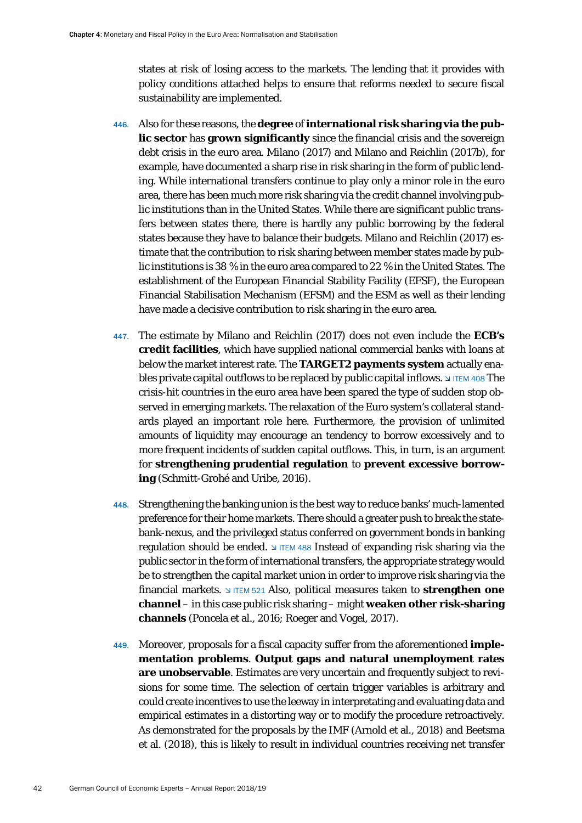states at risk of losing access to the markets. The lending that it provides with policy conditions attached helps to ensure that reforms needed to secure fiscal sustainability are implemented.

- 446. Also for these reasons, the **degree** of **international risk sharing via the public sector** has **grown significantly** since the financial crisis and the sovereign debt crisis in the euro area. Milano (2017) and Milano and Reichlin (2017b), for example, have documented a sharp rise in risk sharing in the form of public lending. While international transfers continue to play only a minor role in the euro area, there has been much more risk sharing via the credit channel involving public institutions than in the United States. While there are significant public transfers between states there, there is hardly any public borrowing by the federal states because they have to balance their budgets. Milano and Reichlin (2017) estimate that the contribution to risk sharing between member states made by public institutions is 38 % in the euro area compared to 22 % in the United States. The establishment of the European Financial Stability Facility (EFSF), the European Financial Stabilisation Mechanism (EFSM) and the ESM as well as their lending have made a decisive contribution to risk sharing in the euro area.
- 447. The estimate by Milano and Reichlin (2017) does not even include the **ECB's credit facilities**, which have supplied national commercial banks with loans at below the market interest rate. The **TARGET2 payments system** actually enables private capital outflows to be replaced by public capital inflows.  $\frac{1}{2}$  ITEM 408 The crisis-hit countries in the euro area have been spared the type of sudden stop observed in emerging markets. The relaxation of the Euro system's collateral standards played an important role here. Furthermore, the provision of unlimited amounts of liquidity may encourage an tendency to borrow excessively and to more frequent incidents of sudden capital outflows. This, in turn, is an argument for **strengthening prudential regulation** to **prevent excessive borrowing** (Schmitt-Grohé and Uribe, 2016).
- 448. Strengthening the banking union is the best way to reduce banks' much-lamented preference for their home markets. There should a greater push to break the statebank-nexus, and the privileged status conferred on government bonds in banking regulation should be ended.  $\sqrt{15}$  ITEM 488 Instead of expanding risk sharing via the public sector in the form of international transfers, the appropriate strategy would be to strengthen the capital market union in order to improve risk sharing via the financial markets. If ITEM 521 Also, political measures taken to **strengthen one channel** – in this case public risk sharing – might **weaken other risk-sharing channels** (Poncela et al., 2016; Roeger and Vogel, 2017).
- 449. Moreover, proposals for a fiscal capacity suffer from the aforementioned **implementation problems**. **Output gaps and natural unemployment rates are unobservable**. Estimates are very uncertain and frequently subject to revisions for some time. The selection of certain trigger variables is arbitrary and could create incentives to use the leeway in interpretating and evaluating data and empirical estimates in a distorting way or to modify the procedure retroactively. As demonstrated for the proposals by the IMF (Arnold et al., 2018) and Beetsma et al. (2018), this is likely to result in individual countries receiving net transfer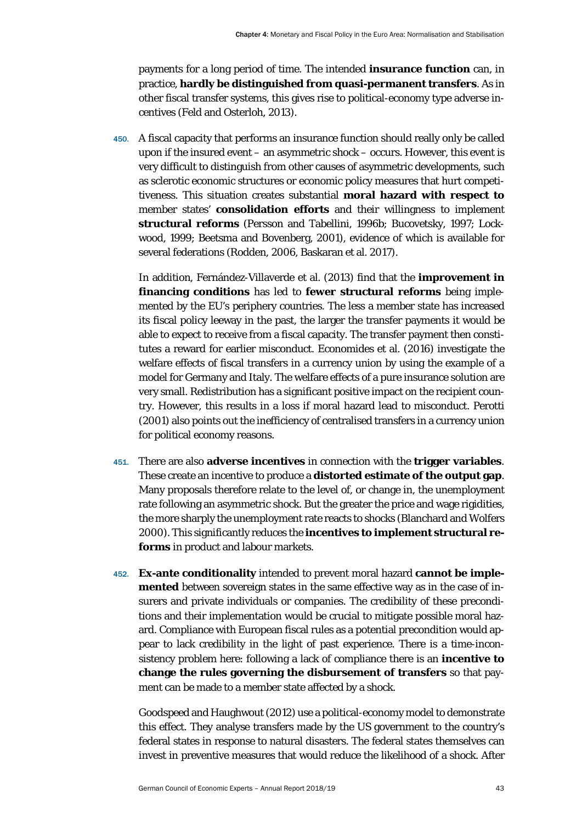payments for a long period of time. The intended **insurance function** can, in practice, **hardly be distinguished from quasi-permanent transfers**. As in other fiscal transfer systems, this gives rise to political-economy type adverse incentives (Feld and Osterloh, 2013).

450. A fiscal capacity that performs an insurance function should really only be called upon if the insured event – an asymmetric shock – occurs. However, this event is very difficult to distinguish from other causes of asymmetric developments, such as sclerotic economic structures or economic policy measures that hurt competitiveness. This situation creates substantial **moral hazard with respect to** member states' **consolidation efforts** and their willingness to implement **structural reforms** (Persson and Tabellini, 1996b; Bucovetsky, 1997; Lockwood, 1999; Beetsma and Bovenberg, 2001), evidence of which is available for several federations (Rodden, 2006, Baskaran et al. 2017).

In addition, Fernández-Villaverde et al. (2013) find that the **improvement in financing conditions** has led to **fewer structural reforms** being implemented by the EU's periphery countries. The less a member state has increased its fiscal policy leeway in the past, the larger the transfer payments it would be able to expect to receive from a fiscal capacity. The transfer payment then constitutes a reward for earlier misconduct. Economides et al. (2016) investigate the welfare effects of fiscal transfers in a currency union by using the example of a model for Germany and Italy. The welfare effects of a pure insurance solution are very small. Redistribution has a significant positive impact on the recipient country. However, this results in a loss if moral hazard lead to misconduct. Perotti (2001) also points out the inefficiency of centralised transfers in a currency union for political economy reasons.

- 451. There are also **adverse incentives** in connection with the **trigger variables**. These create an incentive to produce a **distorted estimate of the output gap**. Many proposals therefore relate to the level of, or change in, the unemployment rate following an asymmetric shock. But the greater the price and wage rigidities, the more sharply the unemployment rate reacts to shocks (Blanchard and Wolfers 2000). This significantly reduces the **incentives to implement structural reforms** in product and labour markets.
- 452. **Ex-ante conditionality** intended to prevent moral hazard **cannot be implemented** between sovereign states in the same effective way as in the case of insurers and private individuals or companies. The credibility of these preconditions and their implementation would be crucial to mitigate possible moral hazard. Compliance with European fiscal rules as a potential precondition would appear to lack credibility in the light of past experience. There is a time-inconsistency problem here: following a lack of compliance there is an **incentive to change the rules governing the disbursement of transfers** so that payment can be made to a member state affected by a shock.

Goodspeed and Haughwout (2012) use a political-economy model to demonstrate this effect. They analyse transfers made by the US government to the country's federal states in response to natural disasters. The federal states themselves can invest in preventive measures that would reduce the likelihood of a shock. After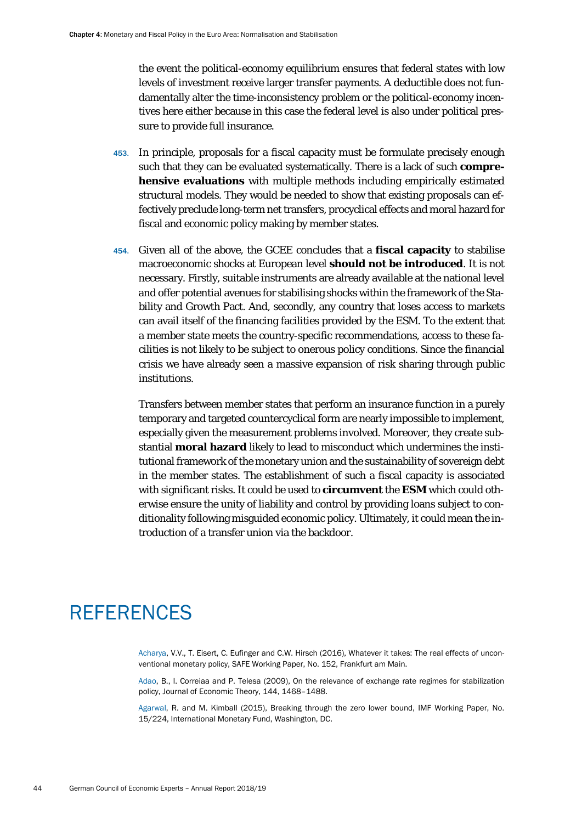the event the political-economy equilibrium ensures that federal states with low levels of investment receive larger transfer payments. A deductible does not fundamentally alter the time-inconsistency problem or the political-economy incentives here either because in this case the federal level is also under political pressure to provide full insurance.

- 453. In principle, proposals for a fiscal capacity must be formulate precisely enough such that they can be evaluated systematically. There is a lack of such **comprehensive evaluations** with multiple methods including empirically estimated structural models. They would be needed to show that existing proposals can effectively preclude long-term net transfers, procyclical effects and moral hazard for fiscal and economic policy making by member states.
- 454. Given all of the above, the GCEE concludes that a **fiscal capacity** to stabilise macroeconomic shocks at European level **should not be introduced**. It is not necessary. Firstly, suitable instruments are already available at the national level and offer potential avenues for stabilising shocks within the framework of the Stability and Growth Pact. And, secondly, any country that loses access to markets can avail itself of the financing facilities provided by the ESM. To the extent that a member state meets the country-specific recommendations, access to these facilities is not likely to be subject to onerous policy conditions. Since the financial crisis we have already seen a massive expansion of risk sharing through public institutions.

Transfers between member states that perform an insurance function in a purely temporary and targeted countercyclical form are nearly impossible to implement, especially given the measurement problems involved. Moreover, they create substantial **moral hazard** likely to lead to misconduct which undermines the institutional framework of the monetary union and the sustainability of sovereign debt in the member states. The establishment of such a fiscal capacity is associated with significant risks. It could be used to **circumvent** the **ESM** which could otherwise ensure the unity of liability and control by providing loans subject to conditionality following misguided economic policy. Ultimately, it could mean the introduction of a transfer union via the backdoor.

## **REFERENCES**

Acharya, V.V., T. Eisert, C. Eufinger and C.W. Hirsch (2016), Whatever it takes: The real effects of unconventional monetary policy, SAFE Working Paper, No. 152, Frankfurt am Main.

Adao, B., I. Correiaa and P. Telesa (2009), On the relevance of exchange rate regimes for stabilization policy, Journal of Economic Theory, 144, 1468–1488.

Agarwal, R. and M. Kimball (2015), Breaking through the zero lower bound, IMF Working Paper, No. 15/224, International Monetary Fund, Washington, DC.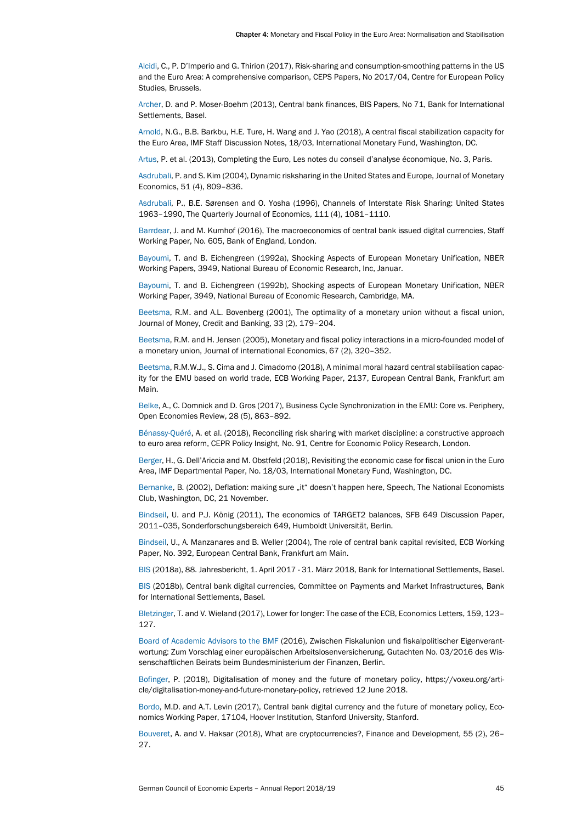Alcidi, C., P. D'Imperio and G. Thirion (2017), Risk-sharing and consumption-smoothing patterns in the US and the Euro Area: A comprehensive comparison, CEPS Papers, No 2017/04, Centre for European Policy Studies, Brussels.

Archer, D. and P. Moser-Boehm (2013), Central bank finances, BIS Papers, No 71, Bank for International Settlements, Basel.

Arnold, N.G., B.B. Barkbu, H.E. Ture, H. Wang and J. Yao (2018), A central fiscal stabilization capacity for the Euro Area, IMF Staff Discussion Notes, 18/03, International Monetary Fund, Washington, DC.

Artus, P. et al. (2013), Completing the Euro, Les notes du conseil d'analyse économique, No. 3, Paris.

Asdrubali, P. and S. Kim (2004), Dynamic risksharing in the United States and Europe, Journal of Monetary Economics, 51 (4), 809–836.

Asdrubali, P., B.E. Sørensen and O. Yosha (1996), Channels of Interstate Risk Sharing: United States 1963–1990, The Quarterly Journal of Economics, 111 (4), 1081–1110.

Barrdear, J. and M. Kumhof (2016), The macroeconomics of central bank issued digital currencies, Staff Working Paper, No. 605, Bank of England, London.

Bayoumi, T. and B. Eichengreen (1992a), Shocking Aspects of European Monetary Unification, NBER Working Papers, 3949, National Bureau of Economic Research, Inc, Januar.

Bayoumi, T. and B. Eichengreen (1992b), Shocking aspects of European Monetary Unification, NBER Working Paper, 3949, National Bureau of Economic Research, Cambridge, MA.

Beetsma, R.M. and A.L. Bovenberg (2001), The optimality of a monetary union without a fiscal union, Journal of Money, Credit and Banking, 33 (2), 179–204.

Beetsma, R.M. and H. Jensen (2005), Monetary and fiscal policy interactions in a micro-founded model of a monetary union, Journal of international Economics, 67 (2), 320–352.

Beetsma, R.M.W.J., S. Cima and J. Cimadomo (2018), A minimal moral hazard central stabilisation capacity for the EMU based on world trade, ECB Working Paper, 2137, European Central Bank, Frankfurt am Main.

Belke, A., C. Domnick and D. Gros (2017), Business Cycle Synchronization in the EMU: Core vs. Periphery, Open Economies Review, 28 (5), 863–892.

Bénassy-Quéré, A. et al. (2018), Reconciling risk sharing with market discipline: a constructive approach to euro area reform, CEPR Policy Insight, No. 91, Centre for Economic Policy Research, London.

Berger, H., G. Dell'Ariccia and M. Obstfeld (2018), Revisiting the economic case for fiscal union in the Euro Area, IMF Departmental Paper, No. 18/03, International Monetary Fund, Washington, DC.

Bernanke, B. (2002), Deflation: making sure "it" doesn't happen here, Speech, The National Economists Club, Washington, DC, 21 November.

Bindseil, U. and P.J. König (2011), The economics of TARGET2 balances, SFB 649 Discussion Paper, 2011–035, Sonderforschungsbereich 649, Humboldt Universität, Berlin.

Bindseil, U., A. Manzanares and B. Weller (2004), The role of central bank capital revisited, ECB Working Paper, No. 392, European Central Bank, Frankfurt am Main.

BIS (2018a), 88. Jahresbericht, 1. April 2017 - 31. März 2018, Bank for International Settlements, Basel.

BIS (2018b), Central bank digital currencies, Committee on Payments and Market Infrastructures, Bank for International Settlements, Basel.

Bletzinger, T. and V. Wieland (2017), Lower for longer: The case of the ECB, Economics Letters, 159, 123– 127.

Board of Academic Advisors to the BMF (2016), Zwischen Fiskalunion und fiskalpolitischer Eigenverantwortung: Zum Vorschlag einer europäischen Arbeitslosenversicherung, Gutachten No. 03/2016 des Wissenschaftlichen Beirats beim Bundesministerium der Finanzen, Berlin.

Bofinger, P. (2018), Digitalisation of money and the future of monetary policy, https://voxeu.org/article/digitalisation-money-and-future-monetary-policy, retrieved 12 June 2018.

Bordo, M.D. and A.T. Levin (2017), Central bank digital currency and the future of monetary policy, Economics Working Paper, 17104, Hoover Institution, Stanford University, Stanford.

Bouveret, A. and V. Haksar (2018), What are cryptocurrencies?, Finance and Development, 55 (2), 26– 27.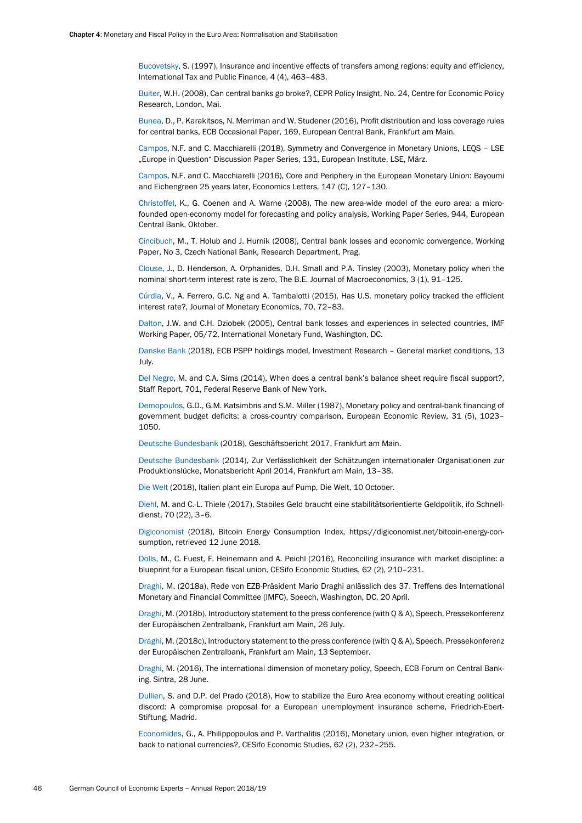Bucovetsky, S. (1997), Insurance and incentive effects of transfers among regions: equity and efficiency, International Tax and Public Finance, 4 (4), 463–483.

Buiter, W.H. (2008), Can central banks go broke?, CEPR Policy Insight, No. 24, Centre for Economic Policy Research, London, Mai.

Bunea, D., P. Karakitsos, N. Merriman and W. Studener (2016), Profit distribution and loss coverage rules for central banks, ECB Occasional Paper, 169, European Central Bank, Frankfurt am Main.

Campos, N.F. and C. Macchiarelli (2018), Symmetry and Convergence in Monetary Unions, LEQS – LSE "Europe in Question" Discussion Paper Series, 131, European Institute, LSE, März.

Campos, N.F. and C. Macchiarelli (2016), Core and Periphery in the European Monetary Union: Bayoumi and Eichengreen 25 years later, Economics Letters, 147 (C), 127–130.

Christoffel, K., G. Coenen and A. Warne (2008), The new area-wide model of the euro area: a microfounded open-economy model for forecasting and policy analysis, Working Paper Series, 944, European Central Bank, Oktober.

Cincibuch, M., T. Holub and J. Hurnik (2008), Central bank losses and economic convergence, Working Paper, No 3, Czech National Bank, Research Department, Prag.

Clouse, J., D. Henderson, A. Orphanides, D.H. Small and P.A. Tinsley (2003), Monetary policy when the nominal short-term interest rate is zero, The B.E. Journal of Macroeconomics, 3 (1), 91-125.

Cúrdia, V., A. Ferrero, G.C. Ng and A. Tambalotti (2015), Has U.S. monetary policy tracked the efficient interest rate?, Journal of Monetary Economics, 70, 72–83.

Dalton, J.W. and C.H. Dziobek (2005), Central bank losses and experiences in selected countries, IMF Working Paper, 05/72, International Monetary Fund, Washington, DC.

Danske Bank (2018), ECB PSPP holdings model, Investment Research – General market conditions, 13 July.

Del Negro, M. and C.A. Sims (2014), When does a central bank's balance sheet require fiscal support?, Staff Report, 701, Federal Reserve Bank of New York.

Demopoulos, G.D., G.M. Katsimbris and S.M. Miller (1987), Monetary policy and central-bank financing of government budget deficits: a cross-country comparison, European Economic Review, 31 (5), 1023– 1050.

Deutsche Bundesbank (2018), Geschäftsbericht 2017, Frankfurt am Main.

Deutsche Bundesbank (2014), Zur Verlässlichkeit der Schätzungen internationaler Organisationen zur Produktionslücke, Monatsbericht April 2014, Frankfurt am Main, 13–38.

Die Welt (2018), Italien plant ein Europa auf Pump, Die Welt, 10 October.

Diehl, M. and C.-L. Thiele (2017), Stabiles Geld braucht eine stabilitätsorientierte Geldpolitik, ifo Schnelldienst, 70 (22), 3–6.

Digiconomist (2018), Bitcoin Energy Consumption Index, https://digiconomist.net/bitcoin-energy-consumption, retrieved 12 June 2018.

Dolls, M., C. Fuest, F. Heinemann and A. Peichl (2016), Reconciling insurance with market discipline: a blueprint for a European fiscal union, CESifo Economic Studies, 62 (2), 210–231.

Draghi, M. (2018a), Rede von EZB-Präsident Mario Draghi anlässlich des 37. Treffens des International Monetary and Financial Committee (IMFC), Speech, Washington, DC, 20 April.

Draghi, M. (2018b), Introductory statement to the press conference (with Q & A), Speech, Pressekonferenz der Europäischen Zentralbank, Frankfurt am Main, 26 July.

Draghi, M. (2018c), Introductory statement to the press conference (with Q & A), Speech, Pressekonferenz der Europäischen Zentralbank, Frankfurt am Main, 13 September.

Draghi, M. (2016), The international dimension of monetary policy, Speech, ECB Forum on Central Banking, Sintra, 28 June.

Dullien, S. and D.P. del Prado (2018), How to stabilize the Euro Area economy without creating political discord: A compromise proposal for a European unemployment insurance scheme, Friedrich-Ebert-Stiftung, Madrid.

Economides, G., A. Philippopoulos and P. Varthalitis (2016), Monetary union, even higher integration, or back to national currencies?, CESifo Economic Studies, 62 (2), 232–255.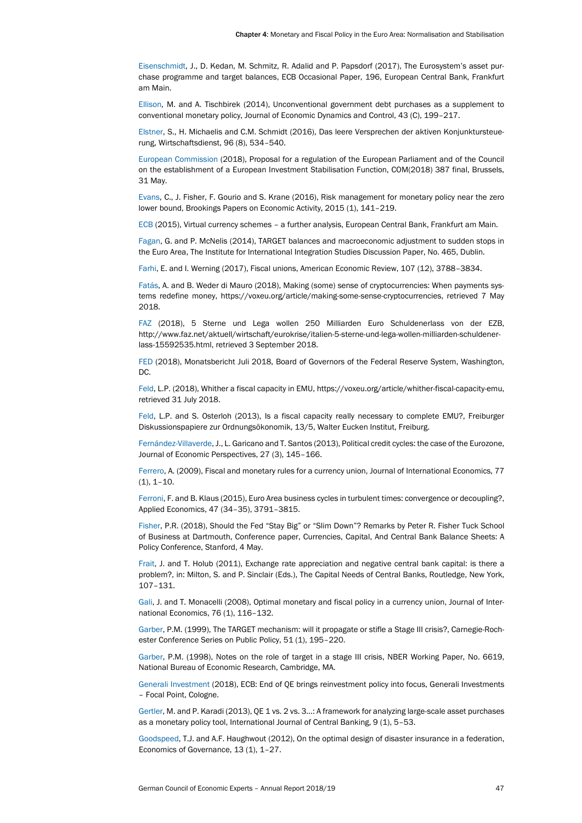Eisenschmidt, J., D. Kedan, M. Schmitz, R. Adalid and P. Papsdorf (2017), The Eurosystem's asset purchase programme and target balances, ECB Occasional Paper, 196, European Central Bank, Frankfurt am Main.

Ellison, M. and A. Tischbirek (2014), Unconventional government debt purchases as a supplement to conventional monetary policy, Journal of Economic Dynamics and Control, 43 (C), 199–217.

Elstner, S., H. Michaelis and C.M. Schmidt (2016), Das leere Versprechen der aktiven Konjunktursteuerung, Wirtschaftsdienst, 96 (8), 534–540.

European Commission (2018), Proposal for a regulation of the European Parliament and of the Council on the establishment of a European Investment Stabilisation Function, COM(2018) 387 final, Brussels, 31 May.

Evans, C., J. Fisher, F. Gourio and S. Krane (2016), Risk management for monetary policy near the zero lower bound, Brookings Papers on Economic Activity, 2015 (1), 141–219.

ECB (2015), Virtual currency schemes – a further analysis, European Central Bank, Frankfurt am Main.

Fagan, G. and P. McNelis (2014), TARGET balances and macroeconomic adjustment to sudden stops in the Euro Area, The Institute for International Integration Studies Discussion Paper, No. 465, Dublin.

Farhi, E. and I. Werning (2017), Fiscal unions, American Economic Review, 107 (12), 3788–3834.

Fatás, A. and B. Weder di Mauro (2018), Making (some) sense of cryptocurrencies: When payments systems redefine money, https://voxeu.org/article/making-some-sense-cryptocurrencies, retrieved 7 May 2018.

FAZ (2018), 5 Sterne und Lega wollen 250 Milliarden Euro Schuldenerlass von der EZB, http://www.faz.net/aktuell/wirtschaft/eurokrise/italien-5-sterne-und-lega-wollen-milliarden-schuldenerlass-15592535.html, retrieved 3 September 2018.

FED (2018), Monatsbericht Juli 2018, Board of Governors of the Federal Reserve System, Washington, DC.

Feld, L.P. (2018), Whither a fiscal capacity in EMU, https://voxeu.org/article/whither-fiscal-capacity-emu, retrieved 31 July 2018.

Feld, L.P. and S. Osterloh (2013), Is a fiscal capacity really necessary to complete EMU?, Freiburger Diskussionspapiere zur Ordnungsökonomik, 13/5, Walter Eucken Institut, Freiburg.

Fernández-Villaverde, J., L. Garicano and T. Santos (2013), Political credit cycles: the case of the Eurozone, Journal of Economic Perspectives, 27 (3), 145–166.

Ferrero, A. (2009), Fiscal and monetary rules for a currency union, Journal of International Economics, 77  $(1), 1-10.$ 

Ferroni, F. and B. Klaus (2015), Euro Area business cycles in turbulent times: convergence or decoupling?, Applied Economics, 47 (34–35), 3791–3815.

Fisher, P.R. (2018), Should the Fed "Stay Big" or "Slim Down"? Remarks by Peter R. Fisher Tuck School of Business at Dartmouth, Conference paper, Currencies, Capital, And Central Bank Balance Sheets: A Policy Conference, Stanford, 4 May.

Frait, J. and T. Holub (2011), Exchange rate appreciation and negative central bank capital: is there a problem?, in: Milton, S. and P. Sinclair (Eds.), The Capital Needs of Central Banks, Routledge, New York, 107–131.

Gali, J. and T. Monacelli (2008), Optimal monetary and fiscal policy in a currency union, Journal of International Economics, 76 (1), 116–132.

Garber, P.M. (1999), The TARGET mechanism: will it propagate or stifle a Stage III crisis?, Carnegie-Rochester Conference Series on Public Policy, 51 (1), 195–220.

Garber, P.M. (1998), Notes on the role of target in a stage III crisis, NBER Working Paper, No. 6619, National Bureau of Economic Research, Cambridge, MA.

Generali Investment (2018), ECB: End of QE brings reinvestment policy into focus, Generali Investments – Focal Point, Cologne.

Gertler, M. and P. Karadi (2013), QE 1 vs. 2 vs. 3...: A framework for analyzing large-scale asset purchases as a monetary policy tool, International Journal of Central Banking, 9 (1), 5–53.

Goodspeed, T.J. and A.F. Haughwout (2012), On the optimal design of disaster insurance in a federation, Economics of Governance, 13 (1), 1–27.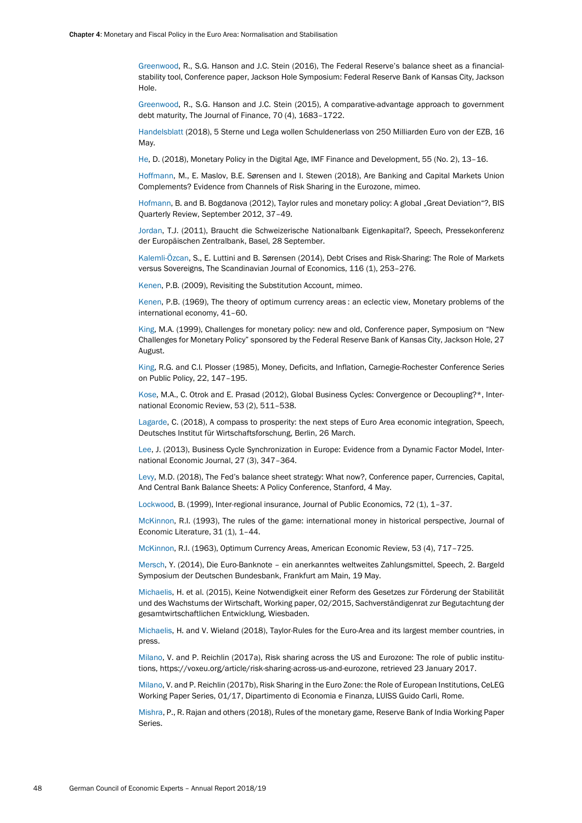Greenwood, R., S.G. Hanson and J.C. Stein (2016), The Federal Reserve's balance sheet as a financialstability tool, Conference paper, Jackson Hole Symposium: Federal Reserve Bank of Kansas City, Jackson Hole.

Greenwood, R., S.G. Hanson and J.C. Stein (2015), A comparative-advantage approach to government debt maturity, The Journal of Finance, 70 (4), 1683–1722.

Handelsblatt (2018), 5 Sterne und Lega wollen Schuldenerlass von 250 Milliarden Euro von der EZB, 16 May.

He, D. (2018), Monetary Policy in the Digital Age, IMF Finance and Development, 55 (No. 2), 13–16.

Hoffmann, M., E. Maslov, B.E. Sørensen and I. Stewen (2018), Are Banking and Capital Markets Union Complements? Evidence from Channels of Risk Sharing in the Eurozone, mimeo.

Hofmann, B. and B. Bogdanova (2012), Taylor rules and monetary policy: A global "Great Deviation"?, BIS Quarterly Review, September 2012, 37–49.

Jordan, T.J. (2011), Braucht die Schweizerische Nationalbank Eigenkapital?, Speech, Pressekonferenz der Europäischen Zentralbank, Basel, 28 September.

Kalemli-Özcan, S., E. Luttini and B. Sørensen (2014), Debt Crises and Risk-Sharing: The Role of Markets versus Sovereigns, The Scandinavian Journal of Economics, 116 (1), 253–276.

Kenen, P.B. (2009), Revisiting the Substitution Account, mimeo.

Kenen, P.B. (1969), The theory of optimum currency areas : an eclectic view, Monetary problems of the international economy, 41–60.

King, M.A. (1999), Challenges for monetary policy: new and old, Conference paper, Symposium on "New Challenges for Monetary Policy" sponsored by the Federal Reserve Bank of Kansas City, Jackson Hole, 27 August.

King, R.G. and C.I. Plosser (1985), Money, Deficits, and Inflation, Carnegie-Rochester Conference Series on Public Policy, 22, 147–195.

Kose, M.A., C. Otrok and E. Prasad (2012), Global Business Cycles: Convergence or Decoupling?\*, International Economic Review, 53 (2), 511–538.

Lagarde, C. (2018), A compass to prosperity: the next steps of Euro Area economic integration, Speech, Deutsches Institut für Wirtschaftsforschung, Berlin, 26 March.

Lee, J. (2013), Business Cycle Synchronization in Europe: Evidence from a Dynamic Factor Model, International Economic Journal, 27 (3), 347–364.

Levy, M.D. (2018), The Fed's balance sheet strategy: What now?, Conference paper, Currencies, Capital, And Central Bank Balance Sheets: A Policy Conference, Stanford, 4 May.

Lockwood, B. (1999), Inter-regional insurance, Journal of Public Economics, 72 (1), 1–37.

McKinnon, R.I. (1993), The rules of the game: international money in historical perspective, Journal of Economic Literature, 31 (1), 1–44.

McKinnon, R.I. (1963), Optimum Currency Areas, American Economic Review, 53 (4), 717–725.

Mersch, Y. (2014), Die Euro-Banknote – ein anerkanntes weltweites Zahlungsmittel, Speech, 2. Bargeld Symposium der Deutschen Bundesbank, Frankfurt am Main, 19 May.

Michaelis, H. et al. (2015), Keine Notwendigkeit einer Reform des Gesetzes zur Förderung der Stabilität und des Wachstums der Wirtschaft, Working paper, 02/2015, Sachverständigenrat zur Begutachtung der gesamtwirtschaftlichen Entwicklung, Wiesbaden.

Michaelis, H. and V. Wieland (2018), Taylor-Rules for the Euro-Area and its largest member countries, in press.

Milano, V. and P. Reichlin (2017a), Risk sharing across the US and Eurozone: The role of public institutions, https://voxeu.org/article/risk-sharing-across-us-and-eurozone, retrieved 23 January 2017.

Milano, V. and P. Reichlin (2017b), Risk Sharing in the Euro Zone: the Role of European Institutions, CeLEG Working Paper Series, 01/17, Dipartimento di Economia e Finanza, LUISS Guido Carli, Rome.

Mishra, P., R. Rajan and others (2018), Rules of the monetary game, Reserve Bank of India Working Paper Series.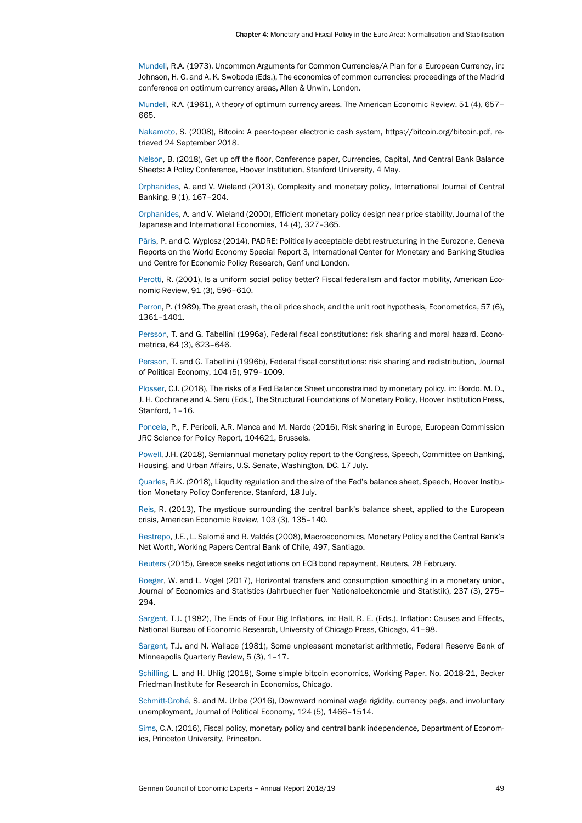Mundell, R.A. (1973), Uncommon Arguments for Common Currencies/A Plan for a European Currency, in: Johnson, H. G. and A. K. Swoboda (Eds.), The economics of common currencies: proceedings of the Madrid conference on optimum currency areas, Allen & Unwin, London.

Mundell, R.A. (1961), A theory of optimum currency areas, The American Economic Review, 51 (4), 657– 665.

Nakamoto, S. (2008), Bitcoin: A peer-to-peer electronic cash system, https://bitcoin.org/bitcoin.pdf, retrieved 24 September 2018.

Nelson, B. (2018), Get up off the floor, Conference paper, Currencies, Capital, And Central Bank Balance Sheets: A Policy Conference, Hoover Institution, Stanford University, 4 May.

Orphanides, A. and V. Wieland (2013), Complexity and monetary policy, International Journal of Central Banking, 9 (1), 167–204.

Orphanides, A. and V. Wieland (2000), Efficient monetary policy design near price stability, Journal of the Japanese and International Economies, 14 (4), 327–365.

Pâris, P. and C. Wyplosz (2014), PADRE: Politically acceptable debt restructuring in the Eurozone, Geneva Reports on the World Economy Special Report 3, International Center for Monetary and Banking Studies und Centre for Economic Policy Research, Genf und London.

Perotti, R. (2001), Is a uniform social policy better? Fiscal federalism and factor mobility, American Economic Review, 91 (3), 596–610.

Perron, P. (1989), The great crash, the oil price shock, and the unit root hypothesis, Econometrica, 57 (6), 1361–1401.

Persson, T. and G. Tabellini (1996a), Federal fiscal constitutions: risk sharing and moral hazard, Econometrica, 64 (3), 623–646.

Persson, T. and G. Tabellini (1996b), Federal fiscal constitutions: risk sharing and redistribution, Journal of Political Economy, 104 (5), 979–1009.

Plosser, C.I. (2018), The risks of a Fed Balance Sheet unconstrained by monetary policy, in: Bordo, M. D., J. H. Cochrane and A. Seru (Eds.), The Structural Foundations of Monetary Policy, Hoover Institution Press, Stanford, 1-16.

Poncela, P., F. Pericoli, A.R. Manca and M. Nardo (2016), Risk sharing in Europe, European Commission JRC Science for Policy Report, 104621, Brussels.

Powell, J.H. (2018), Semiannual monetary policy report to the Congress, Speech, Committee on Banking, Housing, and Urban Affairs, U.S. Senate, Washington, DC, 17 July.

Quarles, R.K. (2018), Liqudity regulation and the size of the Fed's balance sheet, Speech, Hoover Institution Monetary Policy Conference, Stanford, 18 July.

Reis, R. (2013), The mystique surrounding the central bank's balance sheet, applied to the European crisis, American Economic Review, 103 (3), 135–140.

Restrepo, J.E., L. Salomé and R. Valdés (2008), Macroeconomics, Monetary Policy and the Central Bank's Net Worth, Working Papers Central Bank of Chile, 497, Santiago.

Reuters (2015), Greece seeks negotiations on ECB bond repayment, Reuters, 28 February.

Roeger, W. and L. Vogel (2017), Horizontal transfers and consumption smoothing in a monetary union, Journal of Economics and Statistics (Jahrbuecher fuer Nationaloekonomie und Statistik), 237 (3), 275– 294.

Sargent, T.J. (1982), The Ends of Four Big Inflations, in: Hall, R. E. (Eds.), Inflation: Causes and Effects, National Bureau of Economic Research, University of Chicago Press, Chicago, 41–98.

Sargent, T.J. and N. Wallace (1981), Some unpleasant monetarist arithmetic, Federal Reserve Bank of Minneapolis Quarterly Review, 5 (3), 1–17.

Schilling, L. and H. Uhlig (2018), Some simple bitcoin economics, Working Paper, No. 2018-21, Becker Friedman Institute for Research in Economics, Chicago.

Schmitt-Grohé, S. and M. Uribe (2016), Downward nominal wage rigidity, currency pegs, and involuntary unemployment, Journal of Political Economy, 124 (5), 1466–1514.

Sims, C.A. (2016), Fiscal policy, monetary policy and central bank independence, Department of Economics, Princeton University, Princeton.